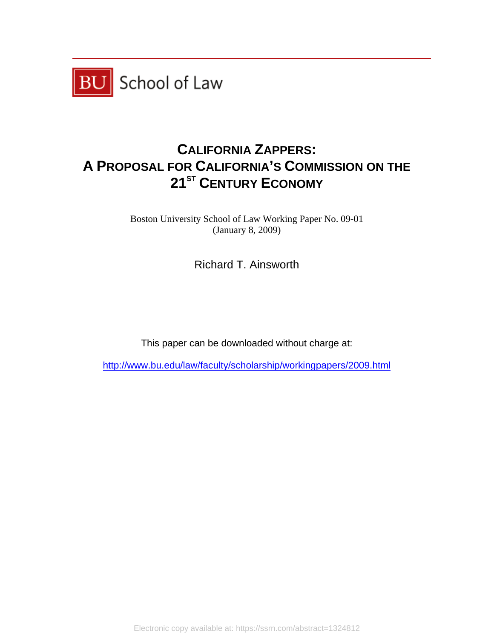

# **CALIFORNIA ZAPPERS: A PROPOSAL FOR CALIFORNIA'S COMMISSION ON THE 21ST CENTURY ECONOMY**

Boston University School of Law Working Paper No. 09-01 (January 8, 2009)

Richard T. Ainsworth

This paper can be downloaded without charge at:

http://www.bu.edu/law/faculty/scholarship/workingpapers/2009.html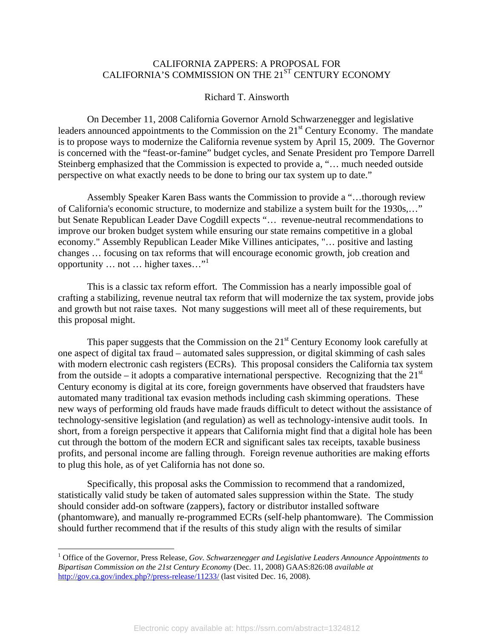# CALIFORNIA ZAPPERS: A PROPOSAL FOR CALIFORNIA'S COMMISSION ON THE 21<sup>ST</sup> CENTURY ECONOMY

# Richard T. Ainsworth

 On December 11, 2008 California Governor Arnold Schwarzenegger and legislative leaders announced appointments to the Commission on the 21<sup>st</sup> Century Economy. The mandate is to propose ways to modernize the California revenue system by April 15, 2009. The Governor is concerned with the "feast-or-famine" budget cycles, and Senate President pro Tempore Darrell Steinberg emphasized that the Commission is expected to provide a, "… much needed outside perspective on what exactly needs to be done to bring our tax system up to date."

 Assembly Speaker Karen Bass wants the Commission to provide a "…thorough review of California's economic structure, to modernize and stabilize a system built for the 1930s,…" but Senate Republican Leader Dave Cogdill expects "… revenue-neutral recommendations to improve our broken budget system while ensuring our state remains competitive in a global economy." Assembly Republican Leader Mike Villines anticipates, "… positive and lasting changes … focusing on tax reforms that will encourage economic growth, job creation and opportunity … not … higher taxes…"<sup>1</sup>

This is a classic tax reform effort. The Commission has a nearly impossible goal of crafting a stabilizing, revenue neutral tax reform that will modernize the tax system, provide jobs and growth but not raise taxes. Not many suggestions will meet all of these requirements, but this proposal might.

This paper suggests that the Commission on the  $21<sup>st</sup>$  Century Economy look carefully at one aspect of digital tax fraud – automated sales suppression, or digital skimming of cash sales with modern electronic cash registers (ECRs). This proposal considers the California tax system from the outside – it adopts a comparative international perspective. Recognizing that the  $21<sup>st</sup>$ Century economy is digital at its core, foreign governments have observed that fraudsters have automated many traditional tax evasion methods including cash skimming operations. These new ways of performing old frauds have made frauds difficult to detect without the assistance of technology-sensitive legislation (and regulation) as well as technology-intensive audit tools. In short, from a foreign perspective it appears that California might find that a digital hole has been cut through the bottom of the modern ECR and significant sales tax receipts, taxable business profits, and personal income are falling through. Foreign revenue authorities are making efforts to plug this hole, as of yet California has not done so.

Specifically, this proposal asks the Commission to recommend that a randomized, statistically valid study be taken of automated sales suppression within the State. The study should consider add-on software (zappers), factory or distributor installed software (phantomware), and manually re-programmed ECRs (self-help phantomware). The Commission should further recommend that if the results of this study align with the results of similar

<sup>&</sup>lt;sup>1</sup> Office of the Governor, Press Release, *Gov. Schwarzenegger and Legislative Leaders Announce Appointments to Bipartisan Commission on the 21st Century Economy* (Dec. 11, 2008) GAAS:826:08 *available at* http://gov.ca.gov/index.php?/press-release/11233/ (last visited Dec. 16, 2008).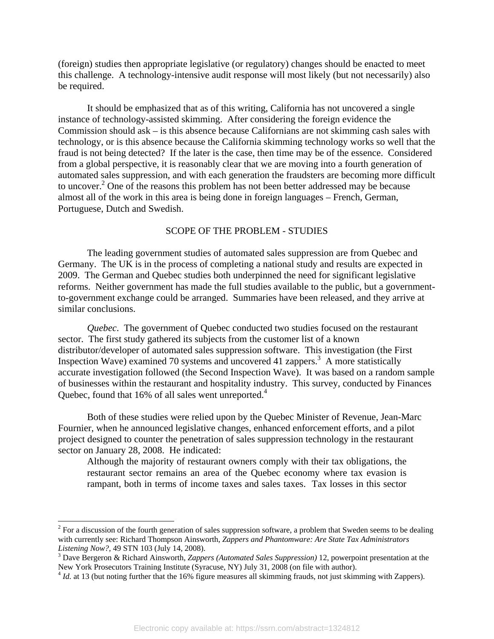(foreign) studies then appropriate legislative (or regulatory) changes should be enacted to meet this challenge. A technology-intensive audit response will most likely (but not necessarily) also be required.

 It should be emphasized that as of this writing, California has not uncovered a single instance of technology-assisted skimming. After considering the foreign evidence the Commission should ask – is this absence because Californians are not skimming cash sales with technology, or is this absence because the California skimming technology works so well that the fraud is not being detected? If the later is the case, then time may be of the essence. Considered from a global perspective, it is reasonably clear that we are moving into a fourth generation of automated sales suppression, and with each generation the fraudsters are becoming more difficult to uncover.<sup>2</sup> One of the reasons this problem has not been better addressed may be because almost all of the work in this area is being done in foreign languages – French, German, Portuguese, Dutch and Swedish.

# SCOPE OF THE PROBLEM - STUDIES

 The leading government studies of automated sales suppression are from Quebec and Germany. The UK is in the process of completing a national study and results are expected in 2009. The German and Quebec studies both underpinned the need for significant legislative reforms. Neither government has made the full studies available to the public, but a governmentto-government exchange could be arranged. Summaries have been released, and they arrive at similar conclusions.

*Quebec*. The government of Quebec conducted two studies focused on the restaurant sector. The first study gathered its subjects from the customer list of a known distributor/developer of automated sales suppression software. This investigation (the First Inspection Wave) examined 70 systems and uncovered 41 zappers.<sup>3</sup> A more statistically accurate investigation followed (the Second Inspection Wave). It was based on a random sample of businesses within the restaurant and hospitality industry. This survey, conducted by Finances Quebec, found that 16% of all sales went unreported.<sup>4</sup>

 Both of these studies were relied upon by the Quebec Minister of Revenue, Jean-Marc Fournier, when he announced legislative changes, enhanced enforcement efforts, and a pilot project designed to counter the penetration of sales suppression technology in the restaurant sector on January 28, 2008. He indicated:

Although the majority of restaurant owners comply with their tax obligations, the restaurant sector remains an area of the Quebec economy where tax evasion is rampant, both in terms of income taxes and sales taxes. Tax losses in this sector

 $2^2$  For a discussion of the fourth generation of sales suppression software, a problem that Sweden seems to be dealing with currently see: Richard Thompson Ainsworth, *Zappers and Phantomware: Are State Tax Administrators Listening Now?,* 49 STN 103 (July 14, 2008). 3

Dave Bergeron & Richard Ainsworth, *Zappers (Automated Sales Suppression)* 12, powerpoint presentation at the New York Prosecutors Training Institute (Syracuse, NY) July 31, 2008 (on file with author).<br><sup>4</sup> *Id.* at 13 (but noting further that the 16% figure measures all skimming frauds, not just skimming with Zappers).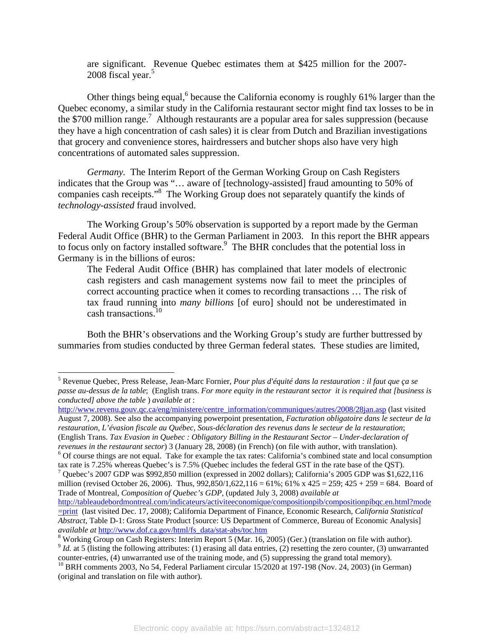are significant. Revenue Quebec estimates them at \$425 million for the 2007- 2008 fiscal year.<sup>5</sup>

Other things being equal, <sup>6</sup> because the California economy is roughly 61% larger than the Quebec economy, a similar study in the California restaurant sector might find tax losses to be in the \$700 million range.<sup>7</sup> Although restaurants are a popular area for sales suppression (because they have a high concentration of cash sales) it is clear from Dutch and Brazilian investigations that grocery and convenience stores, hairdressers and butcher shops also have very high concentrations of automated sales suppression.

*Germany.* The Interim Report of the German Working Group on Cash Registers indicates that the Group was "… aware of [technology-assisted] fraud amounting to 50% of companies cash receipts."<sup>8</sup> The Working Group does not separately quantify the kinds of *technology-assisted* fraud involved.

The Working Group's 50% observation is supported by a report made by the German Federal Audit Office (BHR) to the German Parliament in 2003. In this report the BHR appears to focus only on factory installed software. $9$  The BHR concludes that the potential loss in Germany is in the billions of euros:

The Federal Audit Office (BHR) has complained that later models of electronic cash registers and cash management systems now fail to meet the principles of correct accounting practice when it comes to recording transactions … The risk of tax fraud running into *many billions* [of euro] should not be underestimated in cash transactions.<sup>10</sup>

Both the BHR's observations and the Working Group's study are further buttressed by summaries from studies conducted by three German federal states*.* These studies are limited,

l

http://www.revenu.gouv.qc.ca/eng/ministere/centre\_information/communiques/autres/2008/28jan.asp (last visited August 7, 2008). See also the accompanying powerpoint presentation, *Facturation obligatoire dans le secteur de la restauration, L'évasion fiscale au Québec, Sous-déclaration des revenus dans le secteur de la restauration*; (English Trans. *Tax Evasion in Quebec : Obligatory Billing in the Restaurant Sector – Under-declaration of revenues in the restaurant sector*) 3 (January 28, 2008) (in French) (on file with author, with translation).

<sup>5</sup> Revenue Quebec, Press Release, Jean-Marc Fornier, *Pour plus d'équité dans la restauration : il faut que ça se passe au-dessus de la table*; (English trans. *For more equity in the restaurant sector it is required that [business is conducted] above the table* ) *available at* :

Of course things are not equal. Take for example the tax rates: California's combined state and local consumption tax rate is 7.25% whereas Quebec's is 7.5% (Quebec includes the federal GST in the rate base of the QST). 7

 $^7$  Quebec's 2007 GDP was \$992,850 million (expressed in 2002 dollars); California's 2005 GDP was \$1,622,116 million (revised October 26, 2006). Thus,  $992,850/1,622,116 = 61\%$ ;  $61\% \times 425 = 259$ ;  $425 + 259 = 684$ . Board of Trade of Montreal, *Composition of Quebec's GDP*, (updated July 3, 2008) *available at*

http://tableaudebordmontreal.com/indicateurs/activiteeconomique/compositionpib/compositionpibqc.en.html?mode =print (last visited Dec. 17, 2008); California Department of Finance, Economic Research, *California Statistical Abstract*, Table D-1: Gross State Product [source: US Department of Commerce, Bureau of Economic Analysis] *available at* http://www.dof.ca.gov/html/fs\_data/stat-abs/toc.htm 8

 $9$  *Id.* at 5 (listing the following attributes: (1) erasing all data entries, (2) resetting the zero counter, (3) unwarranted counter-entries, (4) unwarranted use of the training mode, and (5) suppressing the grand total memory).

<sup>&</sup>lt;sup>10</sup> BRH comments 2003, No 54, Federal Parliament circular 15/2020 at 197-198 (Nov. 24, 2003) (in German) (original and translation on file with author).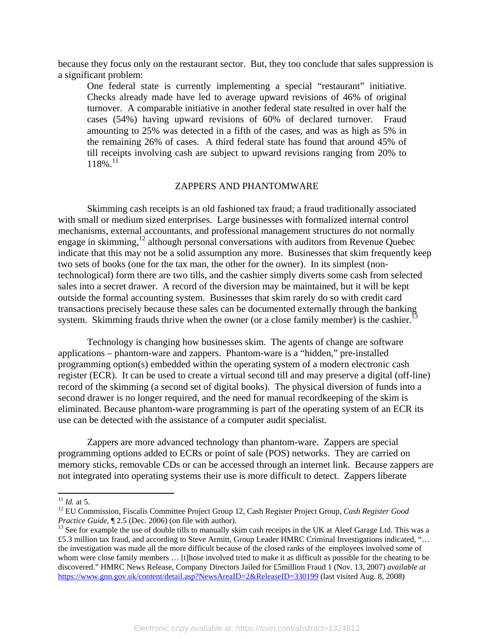because they focus only on the restaurant sector. But, they too conclude that sales suppression is a significant problem:

One federal state is currently implementing a special "restaurant" initiative. Checks already made have led to average upward revisions of 46% of original turnover. A comparable initiative in another federal state resulted in over half the cases (54%) having upward revisions of 60% of declared turnover. Fraud amounting to 25% was detected in a fifth of the cases, and was as high as 5% in the remaining 26% of cases. A third federal state has found that around 45% of till receipts involving cash are subject to upward revisions ranging from 20% to  $118\%$ <sup>11</sup>

# ZAPPERS AND PHANTOMWARE

Skimming cash receipts is an old fashioned tax fraud; a fraud traditionally associated with small or medium sized enterprises. Large businesses with formalized internal control mechanisms, external accountants, and professional management structures do not normally engage in skimming, $^{12}$  although personal conversations with auditors from Revenue Quebec indicate that this may not be a solid assumption any more. Businesses that skim frequently keep two sets of books (one for the tax man, the other for the owner). In its simplest (nontechnological) form there are two tills, and the cashier simply diverts some cash from selected sales into a secret drawer. A record of the diversion may be maintained, but it will be kept outside the formal accounting system. Businesses that skim rarely do so with credit card transactions precisely because these sales can be documented externally through the banking system. Skimming frauds thrive when the owner (or a close family member) is the cashier.<sup>13</sup>

 Technology is changing how businesses skim. The agents of change are software applications – phantom-ware and zappers. Phantom-ware is a "hidden," pre-installed programming option(s) embedded within the operating system of a modern electronic cash register (ECR). It can be used to create a virtual second till and may preserve a digital (off-line) record of the skimming (a second set of digital books). The physical diversion of funds into a second drawer is no longer required, and the need for manual recordkeeping of the skim is eliminated. Because phantom-ware programming is part of the operating system of an ECR its use can be detected with the assistance of a computer audit specialist.

Zappers are more advanced technology than phantom-ware. Zappers are special programming options added to ECRs or point of sale (POS) networks. They are carried on memory sticks, removable CDs or can be accessed through an internet link. Because zappers are not integrated into operating systems their use is more difficult to detect. Zappers liberate

 $11$  *Id.* at 5.

<sup>&</sup>lt;sup>12</sup> EU Commission, Fiscalis Committee Project Group 12, Cash Register Project Group, *Cash Register Good Practice Guide*, **1** 2.5 (Dec. 2006) (on file with author).

<sup>&</sup>lt;sup>13</sup> See for example the use of double tills to manually skim cash receipts in the UK at Aleef Garage Ltd. This was a £5.3 million tax fraud, and according to Steve Armitt, Group Leader HMRC Criminal Investigations indicated, "… the investigation was made all the more difficult because of the closed ranks of the employees involved some of whom were close family members ... [t]hose involved tried to make it as difficult as possible for the cheating to be discovered." HMRC News Release, Company Directors Jailed for £5million Fraud 1 (Nov. 13, 2007) *available at* https://www.gnn.gov.uk/content/detail.asp?NewsAreaID=2&ReleaseID=330199 (last visited Aug. 8, 2008)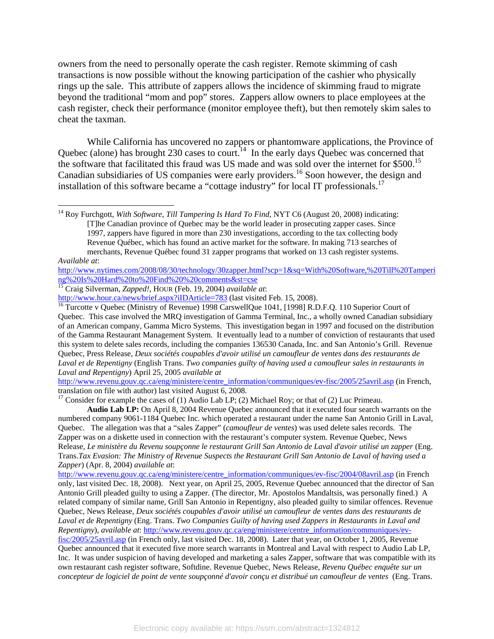owners from the need to personally operate the cash register. Remote skimming of cash transactions is now possible without the knowing participation of the cashier who physically rings up the sale. This attribute of zappers allows the incidence of skimming fraud to migrate beyond the traditional "mom and pop" stores. Zappers allow owners to place employees at the cash register, check their performance (monitor employee theft), but then remotely skim sales to cheat the taxman.

While California has uncovered no zappers or phantomware applications, the Province of Quebec (alone) has brought 230 cases to court.<sup>14</sup> In the early days Quebec was concerned that the software that facilitated this fraud was US made and was sold over the internet for \$500.15 Canadian subsidiaries of US companies were early providers.16 Soon however, the design and installation of this software became a "cottage industry" for local IT professionals.<sup>17</sup>

l

<sup>17</sup> Consider for example the cases of (1) Audio Lab LP; (2) Michael Roy; or that of (2) Luc Primeau.

**Audio Lab LP:** On April 8, 2004 Revenue Quebec announced that it executed four search warrants on the numbered company 9061-1184 Quebec Inc. which operated a restaurant under the name San Antonio Grill in Laval, Quebec. The allegation was that a "sales Zapper" (*camoufleur de ventes*) was used delete sales records. The Zapper was on a diskette used in connection with the restaurant's computer system. Revenue Quebec, News Release, *Le ministère du Revenu soupçonne le restaurant Grill San Antonio de Laval d'avoir utilisé un zapper* (Eng. Trans.*Tax Evasion: The Ministry of Revenue Suspects the Restaurant Grill San Antonio de Laval of having used a Zapper*) (Apr. 8, 2004) *available at*:

http://www.revenu.gouv.qc.ca/eng/ministere/centre\_information/communiques/ev-fisc/2004/08avril.asp (in French only, last visited Dec. 18, 2008). Next year, on April 25, 2005, Revenue Quebec announced that the director of San Antonio Grill pleaded guilty to using a Zapper. (The director, Mr. Apostolos Mandaltsis, was personally fined.) A related company of similar name, Grill San Antonio in Repentigny, also pleaded guilty to similar offences. Revenue Quebec, News Release, *Deux sociétés coupables d'avoir utilisé un camoufleur de ventes dans des restaurants de Laval et de Repentigny* (Eng. Trans. *Two Companies Guilty of having used Zappers in Restaurants in Laval and Repentigny*), *available at*: http://www.revenu.gouv.qc.ca/eng/ministere/centre\_information/communiques/evfisc/2005/25avril.asp (in French only, last visited Dec. 18, 2008). Later that year, on October 1, 2005, Revenue Quebec announced that it executed five more search warrants in Montreal and Laval with respect to Audio Lab LP, Inc. It was under suspicion of having developed and marketing a sales Zapper, software that was compatible with its own restaurant cash register software, Softdine. Revenue Quebec, News Release, *Revenu Québec enquête sur un concepteur de logiciel de point de vente soupçonné d'avoir conçu et distribué un camoufleur de ventes* (Eng. Trans.

<sup>&</sup>lt;sup>14</sup> Roy Furchgott, *With Software, Till Tampering Is Hard To Find*, NYT C6 (August 20, 2008) indicating: [T]he Canadian province of Quebec may be the world leader in prosecuting zapper cases. Since 1997, zappers have figured in more than 230 investigations, according to the tax collecting body Revenue Québec, which has found an active market for the software. In making 713 searches of merchants, Revenue Québec found 31 zapper programs that worked on 13 cash register systems. *Available at*:

http://www.nytimes.com/2008/08/30/technology/30zapper.html?scp=1&sq=With%20Software,%20Till%20Tamperi ng%20Is%20Hard%20to%20Find%20%20comments&st=cse

<sup>&</sup>lt;sup>15</sup> Craig Silverman, *Zapped!*, HOUR (Feb. 19, 2004) *available at*:<br>http://www.hour.ca/news/brief.aspx?iIDArticle=783 (last visited Feb. 15, 2008).

<sup>&</sup>lt;sup>16</sup> Turcotte v Quebec (Ministry of Revenue) 1998 CarswellQue 1041, [1998] R.D.F.Q. 110 Superior Court of Quebec. This case involved the MRQ investigation of Gamma Terminal, Inc., a wholly owned Canadian subsidiary of an American company, Gamma Micro Systems. This investigation began in 1997 and focused on the distribution of the Gamma Restaurant Management System. It eventually lead to a number of conviction of restaurants that used this system to delete sales records, including the companies 136530 Canada, Inc. and San Antonio's Grill. Revenue Quebec, Press Release, *Deux sociétés coupables d'avoir utilisé un camoufleur de ventes dans des restaurants de Laval et de Repentigny* (English Trans. *Two companies guilty of having used a camoufleur sales in restaurants in Laval and Repentigny*) April 25, 2005 *available at* 

http://www.revenu.gouv.qc.ca/eng/ministere/centre\_information/communiques/ev-fisc/2005/25avril.asp (in French, translation on file with author) last visited August 6, 2008.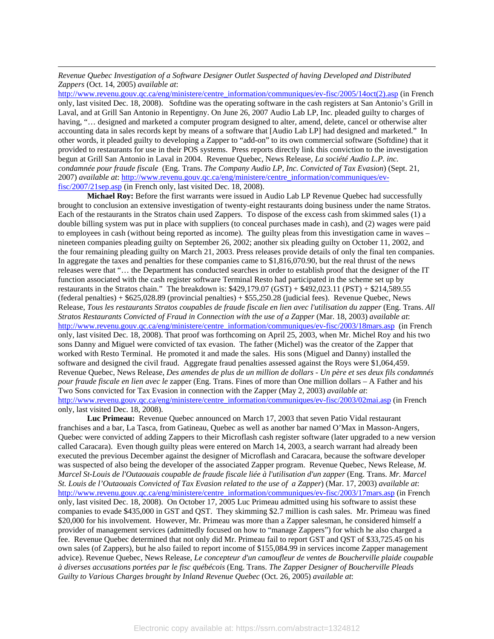#### *Revenue Quebec Investigation of a Software Designer Outlet Suspected of having Developed and Distributed Zappers* (Oct. 14, 2005) *available at*:

l

http://www.revenu.gouv.qc.ca/eng/ministere/centre\_information/communiques/ev-fisc/2005/14oct(2).asp (in French only, last visited Dec. 18, 2008). Softdine was the operating software in the cash registers at San Antonio's Grill in Laval, and at Grill San Antonio in Repentigny. On June 26, 2007 Audio Lab LP, Inc. pleaded guilty to charges of having, "... designed and marketed a computer program designed to alter, amend, delete, cancel or otherwise alter accounting data in sales records kept by means of a software that [Audio Lab LP] had designed and marketed." In other words, it pleaded guilty to developing a Zapper to "add-on" to its own commercial software (Softdine) that it provided to restaurants for use in their POS systems. Press reports directly link this conviction to the investigation begun at Grill San Antonio in Laval in 2004. Revenue Quebec, News Release, *La société Audio L.P. inc. condamnée pour fraude fiscale* (Eng. Trans. *The Company Audio LP, Inc. Convicted of Tax Evasion*) (Sept. 21, 2007) *available at*: http://www.revenu.gouv.qc.ca/eng/ministere/centre\_information/communiques/evfisc/2007/21sep.asp (in French only, last visited Dec. 18, 2008).

**Michael Roy:** Before the first warrants were issued in Audio Lab LP Revenue Quebec had successfully brought to conclusion an extensive investigation of twenty-eight restaurants doing business under the name Stratos. Each of the restaurants in the Stratos chain used Zappers. To dispose of the excess cash from skimmed sales (1) a double billing system was put in place with suppliers (to conceal purchases made in cash), and (2) wages were paid to employees in cash (without being reported as income). The guilty pleas from this investigation came in waves – nineteen companies pleading guilty on September 26, 2002; another six pleading guilty on October 11, 2002, and the four remaining pleading guilty on March 21, 2003. Press releases provide details of only the final ten companies. In aggregate the taxes and penalties for these companies came to \$1,816,070.90, but the real thrust of the news releases were that "… the Department has conducted searches in order to establish proof that the designer of the IT function associated with the cash register software Terminal Resto had participated in the scheme set up by restaurants in the Stratos chain." The breakdown is: \$429,179.07 (GST) + \$492,023.11 (PST) + \$214,589.55 (federal penalties) + \$625,028.89 (provincial penalties) + \$55,250.28 (judicial fees). Revenue Quebec, News Release, *Tous les restaurants Stratos coupables de fraude fiscale en lien avec l'utilisation du zapper* (Eng. Trans. *All Stratos Restaurants Convicted of Fraud in Connection with the use of a Zapper* (Mar. 18, 2003) *available at*: http://www.revenu.gouv.qc.ca/eng/ministere/centre\_information/communiques/ev-fisc/2003/18mars.asp (in French only, last visited Dec. 18, 2008). That proof was forthcoming on April 25, 2003, when Mr. Michel Roy and his two sons Danny and Miguel were convicted of tax evasion. The father (Michel) was the creator of the Zapper that worked with Resto Terminal. He promoted it and made the sales. His sons (Miguel and Danny) installed the software and designed the civil fraud. Aggregate fraud penalties assessed against the Roys were \$1,064,459. Revenue Quebec, News Release, *Des amendes de plus de un million de dollars - Un père et ses deux fils condamnés pour fraude fiscale en lien avec le* zapper (Eng. Trans. Fines of more than One million dollars – A Father and his Two Sons convicted for Tax Evasion in connection with the Zapper (May 2, 2003) *available at*: http://www.revenu.gouv.qc.ca/eng/ministere/centre\_information/communiques/ev-fisc/2003/02mai.asp (in French only, last visited Dec. 18, 2008).

**Luc Primeau:** Revenue Quebec announced on March 17, 2003 that seven Patio Vidal restaurant franchises and a bar, La Tasca, from Gatineau, Quebec as well as another bar named O'Max in Masson-Angers, Quebec were convicted of adding Zappers to their Microflash cash register software (later upgraded to a new version called Caracara). Even though guilty pleas were entered on March 14, 2003, a search warrant had already been executed the previous December against the designer of Microflash and Caracara, because the software developer was suspected of also being the developer of the associated Zapper program. Revenue Quebec, News Release, *M. Marcel St-Louis de l'Outaouais coupable de fraude fiscale liée à l'utilisation d'un zapper* (Eng. Trans. *Mr. Marcel St. Louis de l'Outaouais Convicted of Tax Evasion related to the use of a Zapper*) (Mar. 17, 2003) *available at*: http://www.revenu.gouv.qc.ca/eng/ministere/centre\_information/communiques/ev-fisc/2003/17mars.asp (in French only, last visited Dec. 18, 2008). On October 17, 2005 Luc Primeau admitted using his software to assist these companies to evade \$435,000 in GST and QST. They skimming \$2.7 million is cash sales. Mr. Primeau was fined \$20,000 for his involvement. However, Mr. Primeau was more than a Zapper salesman, he considered himself a provider of management services (admittedly focused on how to "manage Zappers") for which he also charged a fee. Revenue Quebec determined that not only did Mr. Primeau fail to report GST and QST of \$33,725.45 on his own sales (of Zappers), but he also failed to report income of \$155,084.99 in services income Zapper management advice). Revenue Quebec, News Release, *Le concepteur d'un camoufleur de ventes de Boucherville plaide coupable à diverses accusations portées par le fisc québécois* (Eng. Trans. *The Zapper Designer of Boucherville Pleads Guilty to Various Charges brought by Inland Revenue Quebec* (Oct. 26, 2005) *available at*: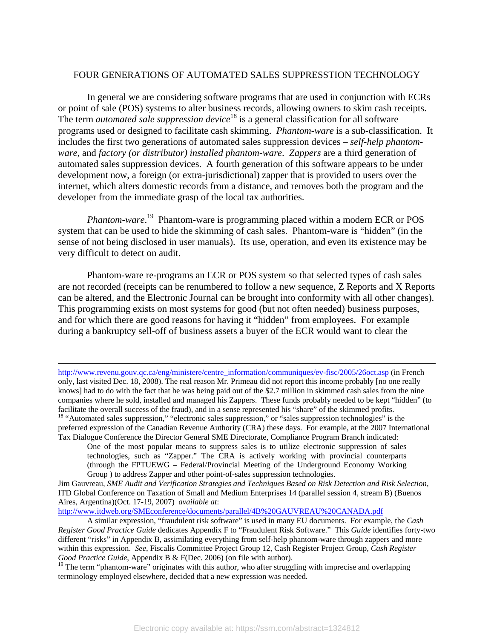#### FOUR GENERATIONS OF AUTOMATED SALES SUPPRESSTION TECHNOLOGY

In general we are considering software programs that are used in conjunction with ECRs or point of sale (POS) systems to alter business records, allowing owners to skim cash receipts. The term *automated sale suppression device*18 is a general classification for all software programs used or designed to facilitate cash skimming. *Phantom-ware* is a sub-classification. It includes the first two generations of automated sales suppression devices – *self-help phantomware*, and *factory (or distributor) installed phantom-ware*. *Zappers* are a third generation of automated sales suppression devices. A fourth generation of this software appears to be under development now, a foreign (or extra-jurisdictional) zapper that is provided to users over the internet, which alters domestic records from a distance, and removes both the program and the developer from the immediate grasp of the local tax authorities.

*Phantom-ware*.<sup>19</sup> Phantom-ware is programming placed within a modern ECR or POS system that can be used to hide the skimming of cash sales. Phantom-ware is "hidden" (in the sense of not being disclosed in user manuals). Its use, operation, and even its existence may be very difficult to detect on audit.

Phantom-ware re-programs an ECR or POS system so that selected types of cash sales are not recorded (receipts can be renumbered to follow a new sequence, Z Reports and X Reports can be altered, and the Electronic Journal can be brought into conformity with all other changes). This programming exists on most systems for good (but not often needed) business purposes, and for which there are good reasons for having it "hidden" from employees. For example during a bankruptcy sell-off of business assets a buyer of the ECR would want to clear the

One of the most popular means to suppress sales is to utilize electronic suppression of sales technologies, such as "Zapper." The CRA is actively working with provincial counterparts (through the FPTUEWG – Federal/Provincial Meeting of the Underground Economy Working Group ) to address Zapper and other point-of-sales suppression technologies.

Jim Gauvreau, *SME Audit and Verification Strategies and Techniques Based on Risk Detection and Risk Selection,*  ITD Global Conference on Taxation of Small and Medium Enterprises 14 (parallel session 4, stream B) (Buenos Aires, Argentina)(Oct. 17-19, 2007) *available at*:

http://www.itdweb.org/SMEconference/documents/parallel/4B%20GAUVREAU%20CANADA.pdf

l

 A similar expression, "fraudulent risk software" is used in many EU documents. For example, the *Cash Register Good Practice Guide* dedicates Appendix F to "Fraudulent Risk Software." This *Guide* identifies forty-two different "risks" in Appendix B, assimilating everything from self-help phantom-ware through zappers and more within this expression. *See*, Fiscalis Committee Project Group 12, Cash Register Project Group, *Cash Register Good Practice Guide*, Appendix B & F(Dec. 2006) (on file with author).<br><sup>19</sup> The term "phantom-ware" originates with this author, who after struggling with imprecise and overlapping

terminology employed elsewhere, decided that a new expression was needed.

http://www.revenu.gouv.qc.ca/eng/ministere/centre\_information/communiques/ev-fisc/2005/26oct.asp (in French only, last visited Dec. 18, 2008). The real reason Mr. Primeau did not report this income probably [no one really knows] had to do with the fact that he was being paid out of the \$2.7 million in skimmed cash sales from the nine companies where he sold, installed and managed his Zappers. These funds probably needed to be kept "hidden" (to facilitate the overall success of the fraud), and in a sense represented his "share" of the skimmed profits. <sup>18</sup> "Automated sales suppression," "electronic sales suppression," or "sales suppression technologies" is the preferred expression of the Canadian Revenue Authority (CRA) these days. For example, at the 2007 International

Tax Dialogue Conference the Director General SME Directorate, Compliance Program Branch indicated: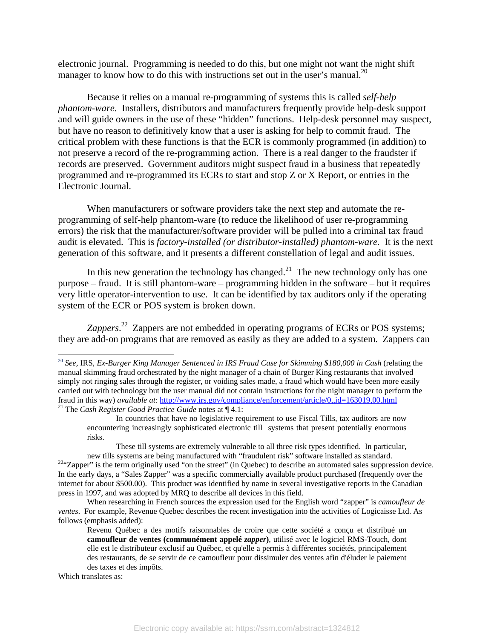electronic journal. Programming is needed to do this, but one might not want the night shift manager to know how to do this with instructions set out in the user's manual.<sup>20</sup>

Because it relies on a manual re-programming of systems this is called *self-help phantom-ware*. Installers, distributors and manufacturers frequently provide help-desk support and will guide owners in the use of these "hidden" functions. Help-desk personnel may suspect, but have no reason to definitively know that a user is asking for help to commit fraud. The critical problem with these functions is that the ECR is commonly programmed (in addition) to not preserve a record of the re-programming action. There is a real danger to the fraudster if records are preserved. Government auditors might suspect fraud in a business that repeatedly programmed and re-programmed its ECRs to start and stop Z or X Report, or entries in the Electronic Journal.

When manufacturers or software providers take the next step and automate the reprogramming of self-help phantom-ware (to reduce the likelihood of user re-programming errors) the risk that the manufacturer/software provider will be pulled into a criminal tax fraud audit is elevated. This is *factory-installed (or distributor-installed) phantom-ware.* It is the next generation of this software, and it presents a different constellation of legal and audit issues.

In this new generation the technology has changed.<sup>21</sup> The new technology only has one purpose – fraud. It is still phantom-ware – programming hidden in the software – but it requires very little operator-intervention to use. It can be identified by tax auditors only if the operating system of the ECR or POS system is broken down.

Zappers.<sup>22</sup> Zappers are not embedded in operating programs of ECRs or POS systems; they are add-on programs that are removed as easily as they are added to a system. Zappers can

 $\overline{\phantom{a}}$ 

<sup>20</sup> *See,* IRS, *Ex-Burger King Manager Sentenced in IRS Fraud Case for Skimming \$180,000 in Cash* (relating the manual skimming fraud orchestrated by the night manager of a chain of Burger King restaurants that involved simply not ringing sales through the register, or voiding sales made, a fraud which would have been more easily carried out with technology but the user manual did not contain instructions for the night manager to perform the fraud in this way) *available at*: http://www.irs.gov/compliance/enforcement/article/0,,id=163019,00.html 21 The *Cash Register Good Practice Guide* notes at ¶ 4.1:

In countries that have no legislative requirement to use Fiscal Tills, tax auditors are now encountering increasingly sophisticated electronic till systems that present potentially enormous risks.

These till systems are extremely vulnerable to all three risk types identified. In particular, new tills systems are being manufactured with "fraudulent risk" software installed as standard.<br><sup>22</sup>"Zapper" is the term originally used "on the street" (in Quebec) to describe an automated sales suppression device. In the early days, a "Sales Zapper" was a specific commercially available product purchased (frequently over the internet for about \$500.00). This product was identified by name in several investigative reports in the Canadian press in 1997, and was adopted by MRQ to describe all devices in this field.

When researching in French sources the expression used for the English word "zapper" is *camoufleur de ventes*. For example, Revenue Quebec describes the recent investigation into the activities of Logicaisse Ltd. As follows (emphasis added):

Revenu Québec a des motifs raisonnables de croire que cette société a conçu et distribué un **camoufleur de ventes (communément appelé** *zapper***)**, utilisé avec le logiciel RMS-Touch, dont elle est le distributeur exclusif au Québec, et qu'elle a permis à différentes sociétés, principalement des restaurants, de se servir de ce camoufleur pour dissimuler des ventes afin d'éluder le paiement des taxes et des impôts.

Which translates as: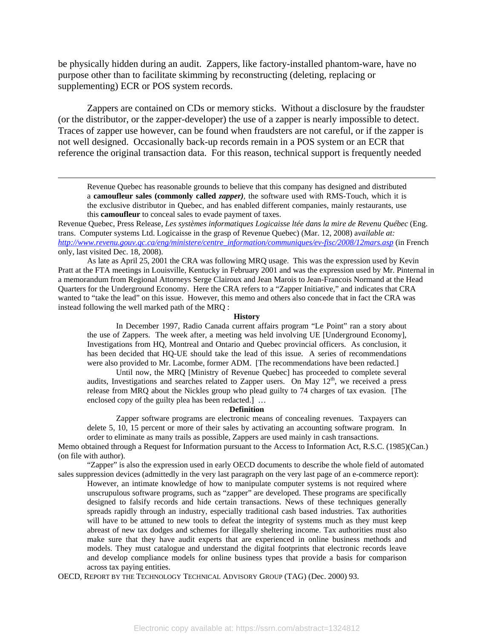be physically hidden during an audit. Zappers, like factory-installed phantom-ware, have no purpose other than to facilitate skimming by reconstructing (deleting, replacing or supplementing) ECR or POS system records.

Zappers are contained on CDs or memory sticks. Without a disclosure by the fraudster (or the distributor, or the zapper-developer) the use of a zapper is nearly impossible to detect. Traces of zapper use however, can be found when fraudsters are not careful, or if the zapper is not well designed. Occasionally back-up records remain in a POS system or an ECR that reference the original transaction data. For this reason, technical support is frequently needed

l

Revenue Quebec has reasonable grounds to believe that this company has designed and distributed a **camoufleur sales (commonly called** *zapper),* the software used with RMS-Touch, which it is the exclusive distributor in Quebec, and has enabled different companies, mainly restaurants, use this **camoufleur** to conceal sales to evade payment of taxes.

Revenue Quebec, Press Release, *Les systèmes informatiques Logicaisse ltée dans la mire de Revenu Québec* (Eng. trans. Computer systems Ltd. Logicaisse in the grasp of Revenue Quebec) (Mar. 12, 2008) a*vailable at: http://www.revenu.gouv.qc.ca/eng/ministere/centre\_information/communiques/ev-fisc/2008/12mars.asp* (in French only, last visited Dec. 18, 2008).

 As late as April 25, 2001 the CRA was following MRQ usage. This was the expression used by Kevin Pratt at the FTA meetings in Louisville, Kentucky in February 2001 and was the expression used by Mr. Pinternal in a memorandum from Regional Attorneys Serge Clairoux and Jean Marois to Jean-Francois Normand at the Head Quarters for the Underground Economy. Here the CRA refers to a "Zapper Initiative," and indicates that CRA wanted to "take the lead" on this issue. However, this memo and others also concede that in fact the CRA was instead following the well marked path of the MRQ :

#### **History**

In December 1997, Radio Canada current affairs program "Le Point" ran a story about the use of Zappers. The week after, a meeting was held involving UE [Underground Economy], Investigations from HQ, Montreal and Ontario and Quebec provincial officers. As conclusion, it has been decided that HQ-UE should take the lead of this issue. A series of recommendations were also provided to Mr. Lacombe, former ADM. [The recommendations have been redacted.]

Until now, the MRQ [Ministry of Revenue Quebec] has proceeded to complete several audits, Investigations and searches related to Zapper users. On May  $12<sup>th</sup>$ , we received a press release from MRQ about the Nickles group who plead guilty to 74 charges of tax evasion. [The enclosed copy of the guilty plea has been redacted.] ...

#### **Definition**

Zapper software programs are electronic means of concealing revenues. Taxpayers can delete 5, 10, 15 percent or more of their sales by activating an accounting software program. In order to eliminate as many trails as possible, Zappers are used mainly in cash transactions.

Memo obtained through a Request for Information pursuant to the Access to Information Act, R.S.C. (1985)(Can.) (on file with author).

 "Zapper" is also the expression used in early OECD documents to describe the whole field of automated sales suppression devices (admittedly in the very last paragraph on the very last page of an e-commerce report):

However, an intimate knowledge of how to manipulate computer systems is not required where unscrupulous software programs, such as "zapper" are developed. These programs are specifically designed to falsify records and hide certain transactions. News of these techniques generally spreads rapidly through an industry, especially traditional cash based industries. Tax authorities will have to be attuned to new tools to defeat the integrity of systems much as they must keep abreast of new tax dodges and schemes for illegally sheltering income. Tax authorities must also make sure that they have audit experts that are experienced in online business methods and models. They must catalogue and understand the digital footprints that electronic records leave and develop compliance models for online business types that provide a basis for comparison across tax paying entities.

OECD, REPORT BY THE TECHNOLOGY TECHNICAL ADVISORY GROUP (TAG) (Dec. 2000) 93.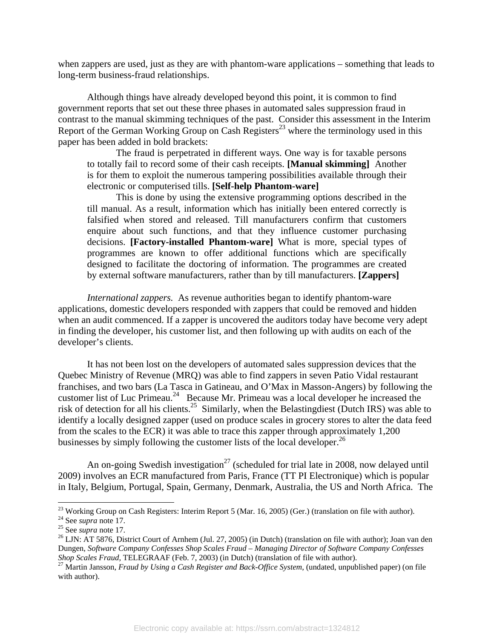when zappers are used, just as they are with phantom-ware applications – something that leads to long-term business-fraud relationships.

Although things have already developed beyond this point, it is common to find government reports that set out these three phases in automated sales suppression fraud in contrast to the manual skimming techniques of the past. Consider this assessment in the Interim Report of the German Working Group on Cash Registers<sup>23</sup> where the terminology used in this paper has been added in bold brackets:

The fraud is perpetrated in different ways. One way is for taxable persons to totally fail to record some of their cash receipts. **[Manual skimming]** Another is for them to exploit the numerous tampering possibilities available through their electronic or computerised tills. **[Self-help Phantom-ware]**

This is done by using the extensive programming options described in the till manual. As a result, information which has initially been entered correctly is falsified when stored and released. Till manufacturers confirm that customers enquire about such functions, and that they influence customer purchasing decisions. **[Factory-installed Phantom-ware]** What is more, special types of programmes are known to offer additional functions which are specifically designed to facilitate the doctoring of information. The programmes are created by external software manufacturers, rather than by till manufacturers. **[Zappers]**

*International zappers.* As revenue authorities began to identify phantom-ware applications, domestic developers responded with zappers that could be removed and hidden when an audit commenced. If a zapper is uncovered the auditors today have become very adept in finding the developer, his customer list, and then following up with audits on each of the developer's clients.

It has not been lost on the developers of automated sales suppression devices that the Quebec Ministry of Revenue (MRQ) was able to find zappers in seven Patio Vidal restaurant franchises, and two bars (La Tasca in Gatineau, and O'Max in Masson-Angers) by following the customer list of Luc Primeau.24 Because Mr. Primeau was a local developer he increased the risk of detection for all his clients.<sup>25</sup> Similarly, when the Belastingdiest (Dutch IRS) was able to identify a locally designed zapper (used on produce scales in grocery stores to alter the data feed from the scales to the ECR) it was able to trace this zapper through approximately 1,200 businesses by simply following the customer lists of the local developer.<sup>26</sup>

An on-going Swedish investigation<sup>27</sup> (scheduled for trial late in 2008, now delayed until 2009) involves an ECR manufactured from Paris, France (TT PI Electronique) which is popular in Italy, Belgium, Portugal, Spain, Germany, Denmark, Australia, the US and North Africa. The

<sup>&</sup>lt;sup>23</sup> Working Group on Cash Registers: Interim Report 5 (Mar. 16, 2005) (Ger.) (translation on file with author).<br><sup>24</sup> See *supra* note 17.<br><sup>25</sup> See *supra* note 17.<br><sup>26</sup> LJN: AT 5876, District Court of Arnhem (Jul. 27, 20 Dungen, *Software Company Confesses Shop Scales Fraud – Managing Director of Software Company Confesses Shop Scales Fraud,* TELEGRAAF (Feb. 7, 2003) (in Dutch) (translation of file with author). 27 Martin Jansson, *Fraud by Using a Cash Register and Back-Office System*, (undated, unpublished paper) (on file

with author).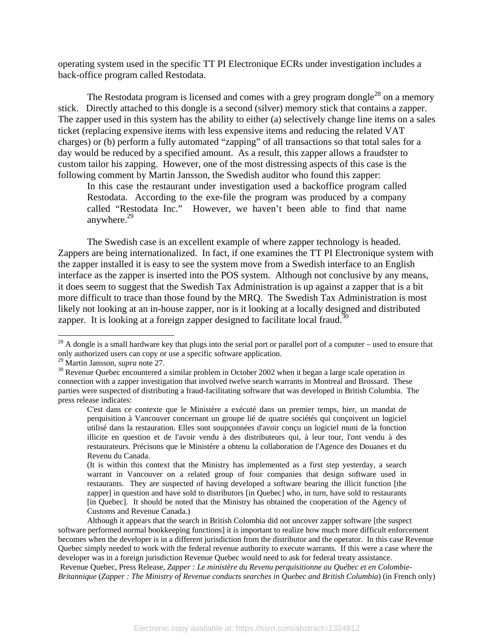operating system used in the specific TT PI Electronique ECRs under investigation includes a back-office program called Restodata.

The Restodata program is licensed and comes with a grey program dongle<sup>28</sup> on a memory stick. Directly attached to this dongle is a second (silver) memory stick that contains a zapper. The zapper used in this system has the ability to either (a) selectively change line items on a sales ticket (replacing expensive items with less expensive items and reducing the related VAT charges) or (b) perform a fully automated "zapping" of all transactions so that total sales for a day would be reduced by a specified amount. As a result, this zapper allows a fraudster to custom tailor his zapping. However, one of the most distressing aspects of this case is the following comment by Martin Jansson, the Swedish auditor who found this zapper:

In this case the restaurant under investigation used a backoffice program called Restodata. According to the exe-file the program was produced by a company called "Restodata Inc." However, we haven't been able to find that name anywhere.<sup>29</sup>

 The Swedish case is an excellent example of where zapper technology is headed. Zappers are being internationalized. In fact, if one examines the TT PI Electronique system with the zapper installed it is easy to see the system move from a Swedish interface to an English interface as the zapper is inserted into the POS system. Although not conclusive by any means, it does seem to suggest that the Swedish Tax Administration is up against a zapper that is a bit more difficult to trace than those found by the MRQ. The Swedish Tax Administration is most likely not looking at an in-house zapper, nor is it looking at a locally designed and distributed zapper. It is looking at a foreign zapper designed to facilitate local fraud.<sup>30</sup>

l

Although it appears that the search in British Colombia did not uncover zapper software [the suspect software performed normal bookkeeping functions] it is important to realize how much more difficult enforcement becomes when the developer is in a different jurisdiction from the distributor and the operator. In this case Revenue Quebec simply needed to work with the federal revenue authority to execute warrants. If this were a case where the developer was in a foreign jurisdiction Revenue Quebec would need to ask for federal treaty assistance.

 $2<sup>8</sup>$  A dongle is a small hardware key that plugs into the serial port or parallel port of a computer – used to ensure that only authorized users can copy or use a specific software application.<br><sup>29</sup> Martin Jansson, *supra* note 27.

<sup>&</sup>lt;sup>30</sup> Revenue Quebec encountered a similar problem in October 2002 when it began a large scale operation in connection with a zapper investigation that involved twelve search warrants in Montreal and Brossard. These parties were suspected of distributing a fraud-facilitating software that was developed in British Columbia. The press release indicates:

C'est dans ce contexte que le Ministère a exécuté dans un premier temps, hier, un mandat de perquisition à Vancouver concernant un groupe lié de quatre sociétés qui conçoivent un logiciel utilisé dans la restauration. Elles sont soupçonnées d'avoir conçu un logiciel muni de la fonction illicite en question et de l'avoir vendu à des distributeurs qui, à leur tour, l'ont vendu à des restaurateurs. Précisons que le Ministère a obtenu la collaboration de l'Agence des Douanes et du Revenu du Canada.

<sup>(</sup>It is within this context that the Ministry has implemented as a first step yesterday, a search warrant in Vancouver on a related group of four companies that design software used in restaurants. They are suspected of having developed a software bearing the illicit function [the zapper] in question and have sold to distributors [in Quebec] who, in turn, have sold to restaurants [in Quebec]. It should be noted that the Ministry has obtained the cooperation of the Agency of Customs and Revenue Canada.)

Revenue Quebec, Press Release, *Zapper : Le ministère du Revenu perquisitionne au Québec et en Colombie-Britannique* (*Zapper : The Ministry of Revenue conducts searches in Quebec and British Columbia*) (in French only)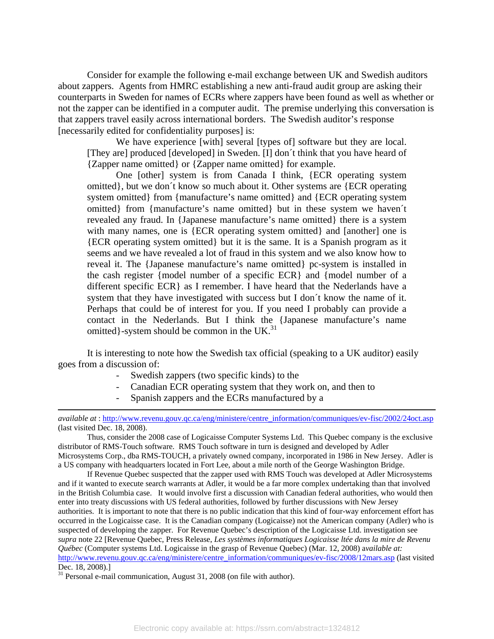Consider for example the following e-mail exchange between UK and Swedish auditors about zappers. Agents from HMRC establishing a new anti-fraud audit group are asking their counterparts in Sweden for names of ECRs where zappers have been found as well as whether or not the zapper can be identified in a computer audit. The premise underlying this conversation is that zappers travel easily across international borders. The Swedish auditor's response [necessarily edited for confidentiality purposes] is:

We have experience [with] several [types of] software but they are local. [They are] produced [developed] in Sweden. [I] don´t think that you have heard of {Zapper name omitted} or {Zapper name omitted} for example.

One [other] system is from Canada I think, {ECR operating system omitted}, but we don´t know so much about it. Other systems are {ECR operating system omitted} from {manufacture's name omitted} and {ECR operating system omitted} from {manufacture's name omitted} but in these system we haven´t revealed any fraud. In {Japanese manufacture's name omitted} there is a system with many names, one is {ECR operating system omitted} and [another] one is {ECR operating system omitted} but it is the same. It is a Spanish program as it seems and we have revealed a lot of fraud in this system and we also know how to reveal it. The {Japanese manufacture's name omitted} pc-system is installed in the cash register {model number of a specific ECR} and {model number of a different specific ECR} as I remember. I have heard that the Nederlands have a system that they have investigated with success but I don´t know the name of it. Perhaps that could be of interest for you. If you need I probably can provide a contact in the Nederlands. But I think the {Japanese manufacture's name omitted}-system should be common in the UK. $^{31}$ 

It is interesting to note how the Swedish tax official (speaking to a UK auditor) easily goes from a discussion of:

- Swedish zappers (two specific kinds) to the
- Canadian ECR operating system that they work on, and then to
- Spanish zappers and the ECRs manufactured by a

 Thus, consider the 2008 case of Logicaisse Computer Systems Ltd. This Quebec company is the exclusive distributor of RMS-Touch software. RMS Touch software in turn is designed and developed by Adler Microsystems Corp., dba RMS-TOUCH, a privately owned company, incorporated in 1986 in New Jersey. Adler is a US company with headquarters located in Fort Lee, about a mile north of the George Washington Bridge.

 If Revenue Quebec suspected that the zapper used with RMS Touch was developed at Adler Microsystems and if it wanted to execute search warrants at Adler, it would be a far more complex undertaking than that involved in the British Columbia case. It would involve first a discussion with Canadian federal authorities, who would then enter into treaty discussions with US federal authorities, followed by further discussions with New Jersey authorities. It is important to note that there is no public indication that this kind of four-way enforcement effort has occurred in the Logicaisse case. It is the Canadian company (Logicaisse) not the American company (Adler) who is suspected of developing the zapper. For Revenue Quebec's description of the Logicaisse Ltd. investigation see *supra* note 22 [Revenue Quebec, Press Release, *Les systèmes informatiques Logicaisse ltée dans la mire de Revenu Québec* (Computer systems Ltd. Logicaisse in the grasp of Revenue Quebec) (Mar. 12, 2008) a*vailable at:* http://www.revenu.gouv.qc.ca/eng/ministere/centre\_information/communiques/ev-fisc/2008/12mars.asp (last visited Dec. 18, 2008).]

<sup>31</sup> Personal e-mail communication, August 31, 2008 (on file with author).

*available at* : http://www.revenu.gouv.qc.ca/eng/ministere/centre\_information/communiques/ev-fisc/2002/24oct.asp (last visited Dec. 18, 2008).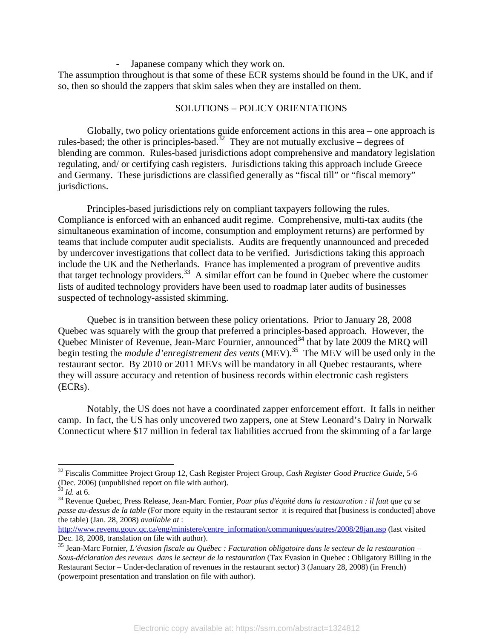#### Japanese company which they work on.

The assumption throughout is that some of these ECR systems should be found in the UK, and if so, then so should the zappers that skim sales when they are installed on them.

# SOLUTIONS – POLICY ORIENTATIONS

Globally, two policy orientations guide enforcement actions in this area – one approach is rules-based; the other is principles-based.<sup>32</sup> They are not mutually exclusive – degrees of blending are common. Rules-based jurisdictions adopt comprehensive and mandatory legislation regulating, and/ or certifying cash registers. Jurisdictions taking this approach include Greece and Germany. These jurisdictions are classified generally as "fiscal till" or "fiscal memory" jurisdictions.

Principles-based jurisdictions rely on compliant taxpayers following the rules. Compliance is enforced with an enhanced audit regime. Comprehensive, multi-tax audits (the simultaneous examination of income, consumption and employment returns) are performed by teams that include computer audit specialists. Audits are frequently unannounced and preceded by undercover investigations that collect data to be verified. Jurisdictions taking this approach include the UK and the Netherlands. France has implemented a program of preventive audits that target technology providers.<sup>33</sup> A similar effort can be found in Quebec where the customer lists of audited technology providers have been used to roadmap later audits of businesses suspected of technology-assisted skimming.

Quebec is in transition between these policy orientations. Prior to January 28, 2008 Quebec was squarely with the group that preferred a principles-based approach. However, the Quebec Minister of Revenue, Jean-Marc Fournier, announced<sup>34</sup> that by late 2009 the MRQ will begin testing the *module d'enregistrement des vents* (MEV).<sup>35</sup> The MEV will be used only in the restaurant sector. By 2010 or 2011 MEVs will be mandatory in all Quebec restaurants, where they will assure accuracy and retention of business records within electronic cash registers (ECRs).

Notably, the US does not have a coordinated zapper enforcement effort. It falls in neither camp. In fact, the US has only uncovered two zappers, one at Stew Leonard's Dairy in Norwalk Connecticut where \$17 million in federal tax liabilities accrued from the skimming of a far large

<sup>32</sup> Fiscalis Committee Project Group 12, Cash Register Project Group, *Cash Register Good Practice Guide*, 5-6 (Dec. 2006) (unpublished report on file with author).  $\frac{33}{1d}$  at 6.

<sup>&</sup>lt;sup>34</sup> Revenue Quebec, Press Release, Jean-Marc Fornier, *Pour plus d'équité dans la restauration : il faut que ça se passe au-dessus de la table* (For more equity in the restaurant sector it is required that [business is conducted] above the table) (Jan. 28, 2008) *available at* :

http://www.revenu.gouv.qc.ca/eng/ministere/centre\_information/communiques/autres/2008/28jan.asp (last visited Dec. 18, 2008, translation on file with author).

<sup>35</sup> Jean-Marc Fornier, *L'évasion fiscale au Québec : Facturation obligatoire dans le secteur de la restauration – Sous-déclaration des revenus dans le secteur de la restauration* (Tax Evasion in Quebec : Obligatory Billing in the Restaurant Sector – Under-declaration of revenues in the restaurant sector) 3 (January 28, 2008) (in French) (powerpoint presentation and translation on file with author).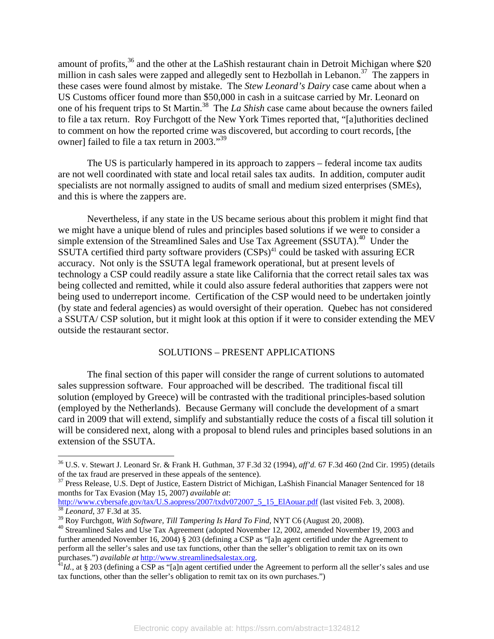amount of profits,<sup>36</sup> and the other at the LaShish restaurant chain in Detroit Michigan where \$20 million in cash sales were zapped and allegedly sent to Hezbollah in Lebanon.<sup>37</sup> The zappers in these cases were found almost by mistake. The *Stew Leonard's Dairy* case came about when a US Customs officer found more than \$50,000 in cash in a suitcase carried by Mr. Leonard on one of his frequent trips to St Martin.<sup>38</sup> The *La Shish* case came about because the owners failed to file a tax return. Roy Furchgott of the New York Times reported that, "[a]uthorities declined to comment on how the reported crime was discovered, but according to court records, [the owner] failed to file a tax return in 2003."<sup>39</sup>

The US is particularly hampered in its approach to zappers – federal income tax audits are not well coordinated with state and local retail sales tax audits. In addition, computer audit specialists are not normally assigned to audits of small and medium sized enterprises (SMEs), and this is where the zappers are.

Nevertheless, if any state in the US became serious about this problem it might find that we might have a unique blend of rules and principles based solutions if we were to consider a simple extension of the Streamlined Sales and Use Tax Agreement (SSUTA).<sup>40</sup> Under the SSUTA certified third party software providers  $(CSPs)^{41}$  could be tasked with assuring ECR accuracy. Not only is the SSUTA legal framework operational, but at present levels of technology a CSP could readily assure a state like California that the correct retail sales tax was being collected and remitted, while it could also assure federal authorities that zappers were not being used to underreport income. Certification of the CSP would need to be undertaken jointly (by state and federal agencies) as would oversight of their operation. Quebec has not considered a SSUTA/ CSP solution, but it might look at this option if it were to consider extending the MEV outside the restaurant sector.

## SOLUTIONS – PRESENT APPLICATIONS

 The final section of this paper will consider the range of current solutions to automated sales suppression software. Four approached will be described. The traditional fiscal till solution (employed by Greece) will be contrasted with the traditional principles-based solution (employed by the Netherlands). Because Germany will conclude the development of a smart card in 2009 that will extend, simplify and substantially reduce the costs of a fiscal till solution it will be considered next, along with a proposal to blend rules and principles based solutions in an extension of the SSUTA.

<sup>36</sup> U.S. v. Stewart J. Leonard Sr. & Frank H. Guthman, 37 F.3d 32 (1994), *aff'd.* 67 F.3d 460 (2nd Cir. 1995) (details of the tax fraud are preserved in these appeals of the sentence).<br><sup>37</sup> Press Release, U.S. Dept of Justice, Eastern District of Michigan, LaShish Financial Manager Sentenced for 18

months for Tax Evasion (May 15, 2007) *available at*:<br>http://www.cybersafe.gov/tax/U.S.aopress/2007/txdv072007\_5\_15\_ElAouar.pdf (last visited Feb. 3, 2008).

http://www.cybersafe.gov/tax/U.S.aopress/2007/txdv072007\_5\_15\_ElAouar.pdf (last visited Feb. 3, 2008). 38 *Leonard,* 37 F.3d at 35.

<sup>&</sup>lt;sup>39</sup> Roy Furchgott, *With Software, Till Tampering Is Hard To Find*, NYT C6 (August 20, 2008).<br><sup>40</sup> Streamlined Sales and Use Tax Agreement (adopted November 12, 2002, amended November 19, 2003 and further amended November 16, 2004) § 203 (defining a CSP as "[a]n agent certified under the Agreement to perform all the seller's sales and use tax functions, other than the seller's obligation to remit tax on its own purchases.") *available at* http://www.streamlinedsalestax.org.<br><sup>41</sup>*Id.*, at § 203 (defining a CSP as "[a]n agent certified under the Agreement to perform all the seller's sales and use

tax functions, other than the seller's obligation to remit tax on its own purchases.")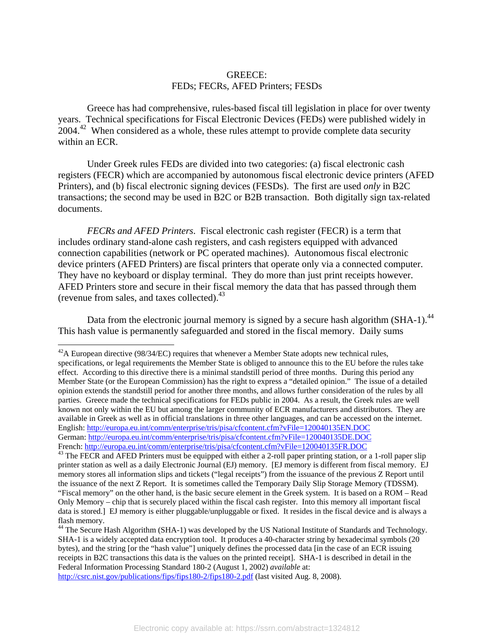# GREECE: FEDs; FECRs, AFED Printers; FESDs

Greece has had comprehensive, rules-based fiscal till legislation in place for over twenty years. Technical specifications for Fiscal Electronic Devices (FEDs) were published widely in  $2004<sup>42</sup>$  When considered as a whole, these rules attempt to provide complete data security within an ECR.

Under Greek rules FEDs are divided into two categories: (a) fiscal electronic cash registers (FECR) which are accompanied by autonomous fiscal electronic device printers (AFED Printers), and (b) fiscal electronic signing devices (FESDs). The first are used *only* in B2C transactions; the second may be used in B2C or B2B transaction. Both digitally sign tax-related documents.

*FECRs and AFED Printers*. Fiscal electronic cash register (FECR) is a term that includes ordinary stand-alone cash registers, and cash registers equipped with advanced connection capabilities (network or PC operated machines). Autonomous fiscal electronic device printers (AFED Printers) are fiscal printers that operate only via a connected computer. They have no keyboard or display terminal. They do more than just print receipts however. AFED Printers store and secure in their fiscal memory the data that has passed through them (revenue from sales, and taxes collected).43

Data from the electronic journal memory is signed by a secure hash algorithm (SHA-1).<sup>44</sup> This hash value is permanently safeguarded and stored in the fiscal memory. Daily sums

 $^{42}$ A European directive (98/34/EC) requires that whenever a Member State adopts new technical rules, specifications, or legal requirements the Member State is obliged to announce this to the EU before the rules take effect. According to this directive there is a minimal standstill period of three months. During this period any Member State (or the European Commission) has the right to express a "detailed opinion." The issue of a detailed opinion extends the standstill period for another three months, and allows further consideration of the rules by all parties. Greece made the technical specifications for FEDs public in 2004. As a result, the Greek rules are well known not only within the EU but among the larger community of ECR manufacturers and distributors. They are available in Greek as well as in official translations in three other languages, and can be accessed on the internet. English: http://europa.eu.int/comm/enterprise/tris/pisa/cfcontent.cfm?vFile=120040135EN.DOC German: http://europa.eu.int/comm/enterprise/tris/pisa/cfcontent.cfm?vFile=120040135DE.DOC<br>French: http://europa.eu.int/comm/enterprise/tris/pisa/cfcontent.cfm?vFile=120040135FR.DOC

<sup>&</sup>lt;sup>43</sup> The FECR and AFED Printers must be equipped with either a 2-roll paper printing station, or a 1-roll paper slip printer station as well as a daily Electronic Journal (EJ) memory. [EJ memory is different from fiscal memory. EJ memory stores all information slips and tickets ("legal receipts") from the issuance of the previous Z Report until the issuance of the next Z Report. It is sometimes called the Temporary Daily Slip Storage Memory (TDSSM). "Fiscal memory" on the other hand, is the basic secure element in the Greek system. It is based on a ROM – Read Only Memory – chip that is securely placed within the fiscal cash register. Into this memory all important fiscal data is stored.] EJ memory is either pluggable/unpluggable or fixed. It resides in the fiscal device and is always a flash memory.

<sup>&</sup>lt;sup>44</sup> The Secure Hash Algorithm (SHA-1) was developed by the US National Institute of Standards and Technology. SHA-1 is a widely accepted data encryption tool. It produces a 40-character string by hexadecimal symbols (20 bytes), and the string [or the "hash value"] uniquely defines the processed data [in the case of an ECR issuing receipts in B2C transactions this data is the values on the printed receipt]. SHA-1 is described in detail in the Federal Information Processing Standard 180-2 (August 1, 2002) *available* at:

http://csrc.nist.gov/publications/fips/fips180-2/fips180-2.pdf (last visited Aug. 8, 2008).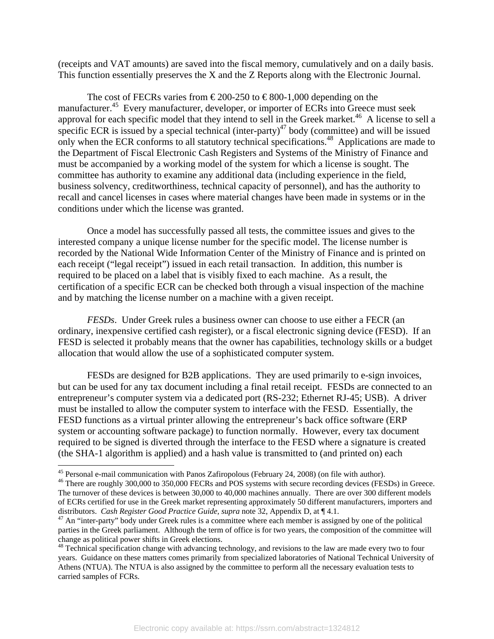(receipts and VAT amounts) are saved into the fiscal memory, cumulatively and on a daily basis. This function essentially preserves the X and the Z Reports along with the Electronic Journal.

The cost of FECRs varies from  $\epsilon$ 200-250 to  $\epsilon$ 800-1,000 depending on the manufacturer.<sup>45</sup> Every manufacturer, developer, or importer of ECRs into Greece must seek approval for each specific model that they intend to sell in the Greek market.<sup>46</sup> A license to sell a specific ECR is issued by a special technical (inter-party)<sup> $47$ </sup> body (committee) and will be issued only when the ECR conforms to all statutory technical specifications.<sup>48</sup> Applications are made to the Department of Fiscal Electronic Cash Registers and Systems of the Ministry of Finance and must be accompanied by a working model of the system for which a license is sought. The committee has authority to examine any additional data (including experience in the field, business solvency, creditworthiness, technical capacity of personnel), and has the authority to recall and cancel licenses in cases where material changes have been made in systems or in the conditions under which the license was granted.

Once a model has successfully passed all tests, the committee issues and gives to the interested company a unique license number for the specific model. The license number is recorded by the National Wide Information Center of the Ministry of Finance and is printed on each receipt ("legal receipt") issued in each retail transaction. In addition, this number is required to be placed on a label that is visibly fixed to each machine. As a result, the certification of a specific ECR can be checked both through a visual inspection of the machine and by matching the license number on a machine with a given receipt.

*FESDs*. Under Greek rules a business owner can choose to use either a FECR (an ordinary, inexpensive certified cash register), or a fiscal electronic signing device (FESD). If an FESD is selected it probably means that the owner has capabilities, technology skills or a budget allocation that would allow the use of a sophisticated computer system.

FESDs are designed for B2B applications. They are used primarily to e-sign invoices, but can be used for any tax document including a final retail receipt. FESDs are connected to an entrepreneur's computer system via a dedicated port (RS-232; Ethernet RJ-45; USB). A driver must be installed to allow the computer system to interface with the FESD. Essentially, the FESD functions as a virtual printer allowing the entrepreneur's back office software (ERP system or accounting software package) to function normally. However, every tax document required to be signed is diverted through the interface to the FESD where a signature is created (the SHA-1 algorithm is applied) and a hash value is transmitted to (and printed on) each

<sup>&</sup>lt;sup>45</sup> Personal e-mail communication with Panos Zafiropolous (February 24, 2008) (on file with author).

<sup>&</sup>lt;sup>46</sup> There are roughly 300,000 to 350,000 FECRs and POS systems with secure recording devices (FESDs) in Greece. The turnover of these devices is between 30,000 to 40,000 machines annually. There are over 300 different models of ECRs certified for use in the Greek market representing approximately 50 different manufacturers, importers and distributors. *Cash Register Good Practice Guide, supra* note 32, Appendix D, at ¶ 4.1.<br><sup>47</sup> An "inter-party" body under Greek rules is a committee where each member is assigned by one of the political

parties in the Greek parliament. Although the term of office is for two years, the composition of the committee will change as political power shifts in Greek elections.

<sup>&</sup>lt;sup>48</sup> Technical specification change with advancing technology, and revisions to the law are made every two to four years. Guidance on these matters comes primarily from specialized laboratories of National Technical University of Athens (NTUA). The NTUA is also assigned by the committee to perform all the necessary evaluation tests to carried samples of FCRs.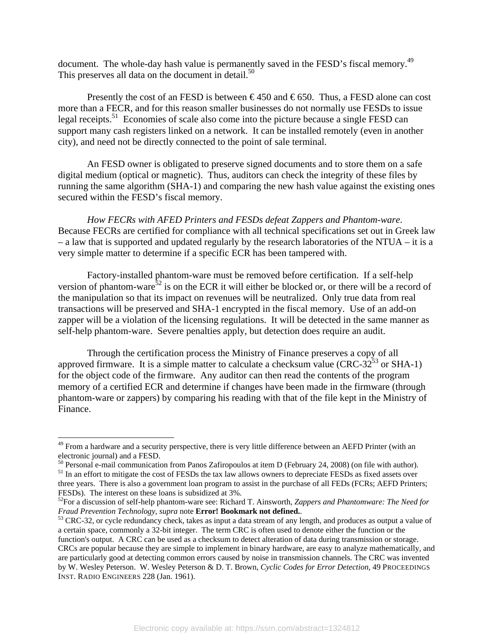document. The whole-day hash value is permanently saved in the FESD's fiscal memory.<sup>49</sup> This preserves all data on the document in detail. $50$ 

Presently the cost of an FESD is between  $\epsilon$ 450 and  $\epsilon$ 650. Thus, a FESD alone can cost more than a FECR, and for this reason smaller businesses do not normally use FESDs to issue legal receipts.<sup>51</sup> Economies of scale also come into the picture because a single FESD can support many cash registers linked on a network. It can be installed remotely (even in another city), and need not be directly connected to the point of sale terminal.

An FESD owner is obligated to preserve signed documents and to store them on a safe digital medium (optical or magnetic). Thus, auditors can check the integrity of these files by running the same algorithm (SHA-1) and comparing the new hash value against the existing ones secured within the FESD's fiscal memory.

*How FECRs with AFED Printers and FESDs defeat Zappers and Phantom-ware*. Because FECRs are certified for compliance with all technical specifications set out in Greek law – a law that is supported and updated regularly by the research laboratories of the NTUA – it is a very simple matter to determine if a specific ECR has been tampered with.

Factory-installed phantom-ware must be removed before certification. If a self-help version of phantom-ware<sup>52</sup> is on the ECR it will either be blocked or, or there will be a record of the manipulation so that its impact on revenues will be neutralized. Only true data from real transactions will be preserved and SHA-1 encrypted in the fiscal memory. Use of an add-on zapper will be a violation of the licensing regulations. It will be detected in the same manner as self-help phantom-ware. Severe penalties apply, but detection does require an audit.

Through the certification process the Ministry of Finance preserves a copy of all approved firmware. It is a simple matter to calculate a checksum value  $(CRC-32^{53})$  or SHA-1) for the object code of the firmware. Any auditor can then read the contents of the program memory of a certified ECR and determine if changes have been made in the firmware (through phantom-ware or zappers) by comparing his reading with that of the file kept in the Ministry of Finance.

<sup>&</sup>lt;sup>49</sup> From a hardware and a security perspective, there is very little difference between an AEFD Printer (with an electronic journal) and a FESD.

<sup>&</sup>lt;sup>50</sup> Personal e-mail communication from Panos Zafiropoulos at item D (February 24, 2008) (on file with author).

<sup>&</sup>lt;sup>51</sup> In an effort to mitigate the cost of FESDs the tax law allows owners to depreciate FESDs as fixed assets over three years. There is also a government loan program to assist in the purchase of all FEDs (FCRs; AEFD Printers; FESDs). The interest on these loans is subsidized at 3%.

<sup>52</sup>For a discussion of self-help phantom-ware see: Richard T. Ainsworth, *Zappers and Phantomware: The Need for Fraud Prevention Technology, supra* note **Error! Bookmark not defined.**<br><sup>53</sup> CRC-32, or cycle redundancy check, takes as input a data stream of any length, and produces as output a value of

a certain space, commonly a 32-bit integer. The term CRC is often used to denote either the function or the function's output. A CRC can be used as a checksum to detect alteration of data during transmission or storage. CRCs are popular because they are simple to implement in binary hardware, are easy to analyze mathematically, and are particularly good at detecting common errors caused by noise in transmission channels. The CRC was invented by W. Wesley Peterson. W. Wesley Peterson & D. T. Brown, *Cyclic Codes for Error Detection,* 49 PROCEEDINGS INST. RADIO ENGINEERS 228 (Jan. 1961).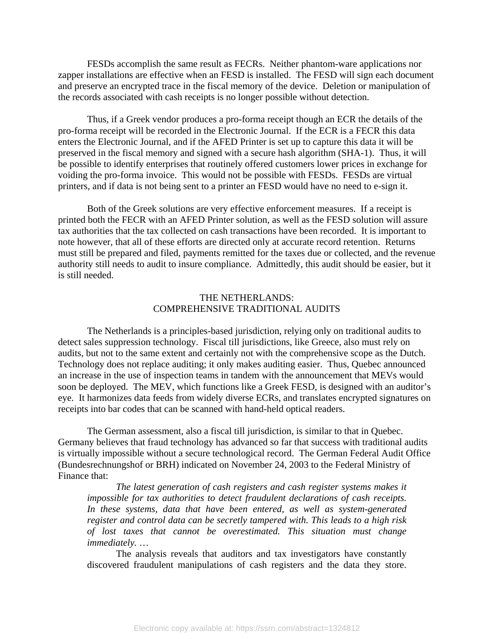FESDs accomplish the same result as FECRs. Neither phantom-ware applications nor zapper installations are effective when an FESD is installed. The FESD will sign each document and preserve an encrypted trace in the fiscal memory of the device. Deletion or manipulation of the records associated with cash receipts is no longer possible without detection.

Thus, if a Greek vendor produces a pro-forma receipt though an ECR the details of the pro-forma receipt will be recorded in the Electronic Journal. If the ECR is a FECR this data enters the Electronic Journal, and if the AFED Printer is set up to capture this data it will be preserved in the fiscal memory and signed with a secure hash algorithm (SHA-1). Thus, it will be possible to identify enterprises that routinely offered customers lower prices in exchange for voiding the pro-forma invoice. This would not be possible with FESDs. FESDs are virtual printers, and if data is not being sent to a printer an FESD would have no need to e-sign it.

Both of the Greek solutions are very effective enforcement measures. If a receipt is printed both the FECR with an AFED Printer solution, as well as the FESD solution will assure tax authorities that the tax collected on cash transactions have been recorded. It is important to note however, that all of these efforts are directed only at accurate record retention. Returns must still be prepared and filed, payments remitted for the taxes due or collected, and the revenue authority still needs to audit to insure compliance. Admittedly, this audit should be easier, but it is still needed.

# THE NETHERLANDS: COMPREHENSIVE TRADITIONAL AUDITS

The Netherlands is a principles-based jurisdiction, relying only on traditional audits to detect sales suppression technology. Fiscal till jurisdictions, like Greece, also must rely on audits, but not to the same extent and certainly not with the comprehensive scope as the Dutch. Technology does not replace auditing; it only makes auditing easier. Thus, Quebec announced an increase in the use of inspection teams in tandem with the announcement that MEVs would soon be deployed. The MEV, which functions like a Greek FESD, is designed with an auditor's eye. It harmonizes data feeds from widely diverse ECRs, and translates encrypted signatures on receipts into bar codes that can be scanned with hand-held optical readers.

The German assessment, also a fiscal till jurisdiction, is similar to that in Quebec. Germany believes that fraud technology has advanced so far that success with traditional audits is virtually impossible without a secure technological record. The German Federal Audit Office (Bundesrechnungshof or BRH) indicated on November 24, 2003 to the Federal Ministry of Finance that:

*The latest generation of cash registers and cash register systems makes it impossible for tax authorities to detect fraudulent declarations of cash receipts. In these systems, data that have been entered, as well as system-generated register and control data can be secretly tampered with. This leads to a high risk of lost taxes that cannot be overestimated. This situation must change immediately.* …

The analysis reveals that auditors and tax investigators have constantly discovered fraudulent manipulations of cash registers and the data they store.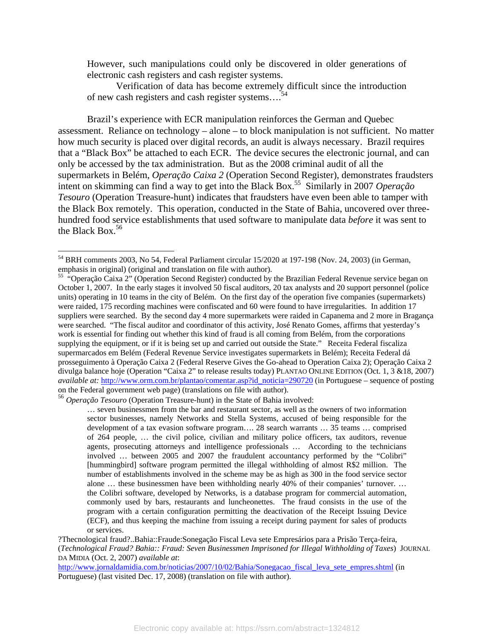However, such manipulations could only be discovered in older generations of electronic cash registers and cash register systems.

Verification of data has become extremely difficult since the introduction of new cash registers and cash register systems....<sup>54</sup>

Brazil's experience with ECR manipulation reinforces the German and Quebec assessment. Reliance on technology – alone – to block manipulation is not sufficient. No matter how much security is placed over digital records, an audit is always necessary. Brazil requires that a "Black Box" be attached to each ECR. The device secures the electronic journal, and can only be accessed by the tax administration. But as the 2008 criminal audit of all the supermarkets in Belém, *Operação Caixa 2* (Operation Second Register), demonstrates fraudsters intent on skimming can find a way to get into the Black Box.55 Similarly in 2007 *Operação Tesouro* (Operation Treasure-hunt) indicates that fraudsters have even been able to tamper with the Black Box remotely. This operation, conducted in the State of Bahia, uncovered over threehundred food service establishments that used software to manipulate data *before* it was sent to the Black Box.<sup>56</sup>

<sup>56</sup> *Operação Tesouro* (Operation Treasure-hunt) in the State of Bahia involved:

l

http://www.jornaldamidia.com.br/noticias/2007/10/02/Bahia/Sonegacao\_fiscal\_leva\_sete\_empres.shtml (in Portuguese) (last visited Dec. 17, 2008) (translation on file with author).

<sup>54</sup> BRH comments 2003, No 54, Federal Parliament circular 15/2020 at 197-198 (Nov. 24, 2003) (in German, emphasis in original) (original and translation on file with author).

<sup>&</sup>lt;sup>55</sup> "Operação Caixa 2" (Operation Second Register) conducted by the Brazilian Federal Revenue service began on October 1, 2007. In the early stages it involved 50 fiscal auditors, 20 tax analysts and 20 support personnel (police units) operating in 10 teams in the city of Belém. On the first day of the operation five companies (supermarkets) were raided, 175 recording machines were confiscated and 60 were found to have irregularities. In addition 17 suppliers were searched. By the second day 4 more supermarkets were raided in Capanema and 2 more in Bragança were searched. "The fiscal auditor and coordinator of this activity, José Renato Gomes, affirms that yesterday's work is essential for finding out whether this kind of fraud is all coming from Belém, from the corporations supplying the equipment, or if it is being set up and carried out outside the State." Receita Federal fiscaliza supermarcados em Belém (Federal Revenue Service investigates supermarkets in Belém); Receita Federal dá prosseguimento à Operação Caixa 2 (Federal Reserve Gives the Go-ahead to Operation Caixa 2); Operação Caixa 2 divulga balance hoje (Operation "Caixa 2" to release results today) PLANTAO ONLINE EDITION (Oct. 1, 3 &18, 2007) *available at:* http://www.orm.com.br/plantao/comentar.asp?id\_noticia=290720 (in Portuguese – sequence of posting on the Federal government web page) (translations on file with author).

<sup>…</sup> seven businessmen from the bar and restaurant sector, as well as the owners of two information sector businesses, namely Networks and Stella Systems, accused of being responsible for the development of a tax evasion software program…. 28 search warrants … 35 teams … comprised of 264 people, … the civil police, civilian and military police officers, tax auditors, revenue agents, prosecuting attorneys and intelligence professionals … According to the technicians involved … between 2005 and 2007 the fraudulent accountancy performed by the "Colibri" [hummingbird] software program permitted the illegal withholding of almost R\$2 million. The number of establishments involved in the scheme may be as high as 300 in the food service sector alone … these businessmen have been withholding nearly 40% of their companies' turnover. … the Colibri software, developed by Networks, is a database program for commercial automation, commonly used by bars, restaurants and luncheonettes. The fraud consists in the use of the program with a certain configuration permitting the deactivation of the Receipt Issuing Device (ECF), and thus keeping the machine from issuing a receipt during payment for sales of products or services.

<sup>?</sup>Thecnological fraud?..Bahia::Fraude:Sonegação Fiscal Leva sete Empresários para a Prisão Terça-feira, (*Technological Fraud? Bahia:: Fraud: Seven Businessmen Imprisoned for Illegal Withholding of Taxes*) JOURNAL DA MIDIA (Oct. 2, 2007) *available at*: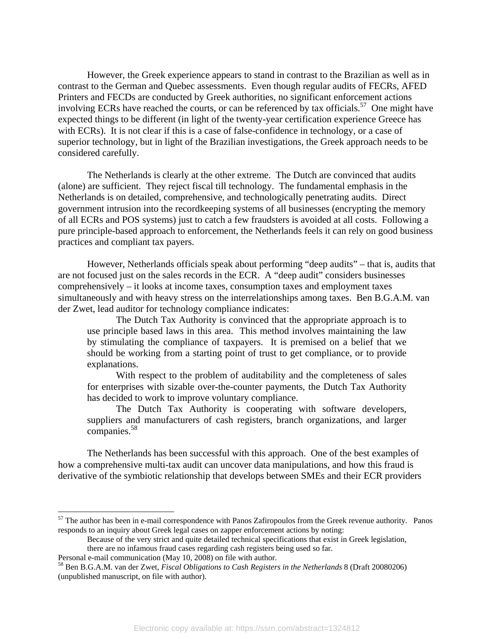However, the Greek experience appears to stand in contrast to the Brazilian as well as in contrast to the German and Quebec assessments. Even though regular audits of FECRs, AFED Printers and FECDs are conducted by Greek authorities, no significant enforcement actions involving ECRs have reached the courts, or can be referenced by tax officials.<sup>57</sup> One might have expected things to be different (in light of the twenty-year certification experience Greece has with ECRs). It is not clear if this is a case of false-confidence in technology, or a case of superior technology, but in light of the Brazilian investigations, the Greek approach needs to be considered carefully.

The Netherlands is clearly at the other extreme. The Dutch are convinced that audits (alone) are sufficient. They reject fiscal till technology. The fundamental emphasis in the Netherlands is on detailed, comprehensive, and technologically penetrating audits. Direct government intrusion into the recordkeeping systems of all businesses (encrypting the memory of all ECRs and POS systems) just to catch a few fraudsters is avoided at all costs. Following a pure principle-based approach to enforcement, the Netherlands feels it can rely on good business practices and compliant tax payers.

However, Netherlands officials speak about performing "deep audits" – that is, audits that are not focused just on the sales records in the ECR. A "deep audit" considers businesses comprehensively – it looks at income taxes, consumption taxes and employment taxes simultaneously and with heavy stress on the interrelationships among taxes. Ben B.G.A.M. van der Zwet, lead auditor for technology compliance indicates:

The Dutch Tax Authority is convinced that the appropriate approach is to use principle based laws in this area. This method involves maintaining the law by stimulating the compliance of taxpayers. It is premised on a belief that we should be working from a starting point of trust to get compliance, or to provide explanations.

With respect to the problem of auditability and the completeness of sales for enterprises with sizable over-the-counter payments, the Dutch Tax Authority has decided to work to improve voluntary compliance.

The Dutch Tax Authority is cooperating with software developers, suppliers and manufacturers of cash registers, branch organizations, and larger companies.58

 The Netherlands has been successful with this approach. One of the best examples of how a comprehensive multi-tax audit can uncover data manipulations, and how this fraud is derivative of the symbiotic relationship that develops between SMEs and their ECR providers

<sup>&</sup>lt;sup>57</sup> The author has been in e-mail correspondence with Panos Zafiropoulos from the Greek revenue authority. Panos responds to an inquiry about Greek legal cases on zapper enforcement actions by noting:

Because of the very strict and quite detailed technical specifications that exist in Greek legislation, there are no infamous fraud cases regarding cash registers being used so far.

Personal e-mail communication (May 10, 2008) on file with author.

<sup>58</sup> Ben B.G.A.M. van der Zwet, *Fiscal Obligations to Cash Registers in the Netherlands* 8 (Draft 20080206) (unpublished manuscript, on file with author).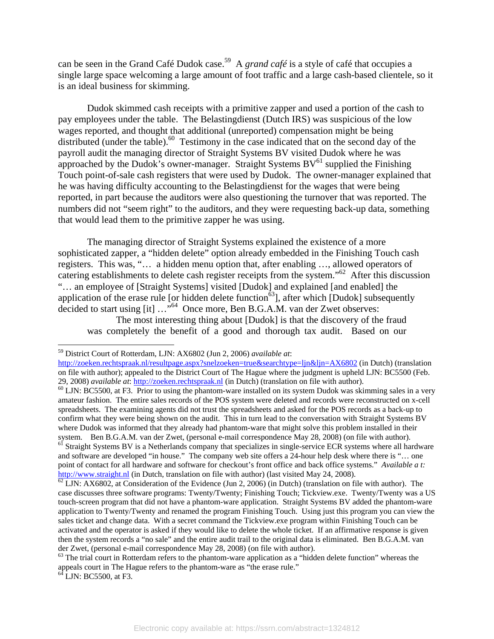can be seen in the Grand Café Dudok case.59 A *grand café* is a style of café that occupies a single large space welcoming a large amount of foot traffic and a large cash-based clientele, so it is an ideal business for skimming.

Dudok skimmed cash receipts with a primitive zapper and used a portion of the cash to pay employees under the table. The Belastingdienst (Dutch IRS) was suspicious of the low wages reported, and thought that additional (unreported) compensation might be being distributed (under the table).<sup>60</sup> Testimony in the case indicated that on the second day of the payroll audit the managing director of Straight Systems BV visited Dudok where he was approached by the Dudok's owner-manager. Straight Systems  $BV<sup>61</sup>$  supplied the Finishing Touch point-of-sale cash registers that were used by Dudok. The owner-manager explained that he was having difficulty accounting to the Belastingdienst for the wages that were being reported, in part because the auditors were also questioning the turnover that was reported. The numbers did not "seem right" to the auditors, and they were requesting back-up data, something that would lead them to the primitive zapper he was using.

The managing director of Straight Systems explained the existence of a more sophisticated zapper, a "hidden delete" option already embedded in the Finishing Touch cash registers. This was, "… a hidden menu option that, after enabling …, allowed operators of catering establishments to delete cash register receipts from the system."62 After this discussion "… an employee of [Straight Systems] visited [Dudok] and explained [and enabled] the application of the erase rule [or hidden delete function<sup>63</sup>], after which [Dudok] subsequently decided to start using [it] …"64 Once more, Ben B.G.A.M. van der Zwet observes:

The most interesting thing about [Dudok] is that the discovery of the fraud was completely the benefit of a good and thorough tax audit. Based on our

<sup>59</sup> District Court of Rotterdam, LJN: AX6802 (Jun 2, 2006) *available at*:

http://zoeken.rechtspraak.nl/resultpage.aspx?snelzoeken=true&searchtype=ljn&ljn=AX6802 (in Dutch) (translation on file with author); appealed to the District Court of The Hague where the judgment is upheld LJN: BC5500 (Feb.

<sup>29, 2008)</sup> *available at*: http://zoeken.rechtspraak.nl (in Dutch) (translation on file with author). 60 LJN: BC5500, at F3. Prior to using the phantom-ware installed on its system Dudok was skimming sales in a very amateur fashion. The entire sales records of the POS system were deleted and records were reconstructed on x-cell spreadsheets. The examining agents did not trust the spreadsheets and asked for the POS records as a back-up to confirm what they were being shown on the audit. This in turn lead to the conversation with Straight Systems BV where Dudok was informed that they already had phantom-ware that might solve this problem installed in their system. Ben B.G.A.M. van der Zwet, (personal e-mail correspondence May 28, 2008) (on file with author).

<sup>&</sup>lt;sup>61</sup> Straight Systems BV is a Netherlands company that specializes in single-service ECR systems where all hardware and software are developed "in house." The company web site offers a 24-hour help desk where there is "… one point of contact for all hardware and software for checkout's front office and back office systems." *Available a t:*   $\frac{http://www.straight.nl}{62}$  (in Dutch, translation on file with author) (last visited May 24, 2008).<br> $\frac{62}$  LJN: AX6802, at Consideration of the Evidence (Jun 2, 2006) (in Dutch) (translation on file with author). The

case discusses three software programs: Twenty/Twenty; Finishing Touch; Tickview.exe. Twenty/Twenty was a US touch-screen program that did not have a phantom-ware application. Straight Systems BV added the phantom-ware application to Twenty/Twenty and renamed the program Finishing Touch. Using just this program you can view the sales ticket and change data. With a secret command the Tickview.exe program within Finishing Touch can be activated and the operator is asked if they would like to delete the whole ticket. If an affirmative response is given then the system records a "no sale" and the entire audit trail to the original data is eliminated. Ben B.G.A.M. van der Zwet, (personal e-mail correspondence May 28, 2008) (on file with author).

 $63$  The trial court in Rotterdam refers to the phantom-ware application as a "hidden delete function" whereas the appeals court in The Hague refers to the phantom-ware as "the erase rule."

 $64$  LJN: BC5500, at F3.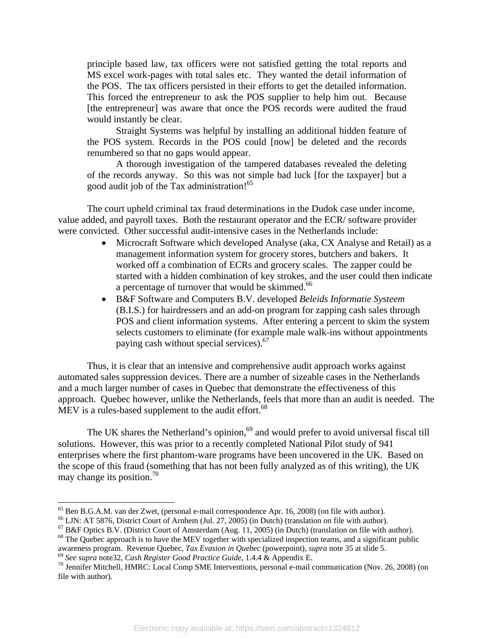principle based law, tax officers were not satisfied getting the total reports and MS excel work-pages with total sales etc. They wanted the detail information of the POS. The tax officers persisted in their efforts to get the detailed information. This forced the entrepreneur to ask the POS supplier to help him out. Because [the entrepreneur] was aware that once the POS records were audited the fraud would instantly be clear.

Straight Systems was helpful by installing an additional hidden feature of the POS system. Records in the POS could [now] be deleted and the records renumbered so that no gaps would appear.

A thorough investigation of the tampered databases revealed the deleting of the records anyway. So this was not simple bad luck [for the taxpayer] but a good audit job of the Tax administration!<sup>65</sup>

The court upheld criminal tax fraud determinations in the Dudok case under income, value added, and payroll taxes. Both the restaurant operator and the ECR/ software provider were convicted. Other successful audit-intensive cases in the Netherlands include:

- Microcraft Software which developed Analyse (aka, CX Analyse and Retail) as a management information system for grocery stores, butchers and bakers. It worked off a combination of ECRs and grocery scales. The zapper could be started with a hidden combination of key strokes, and the user could then indicate a percentage of turnover that would be skimmed.<sup>66</sup>
- B&F Software and Computers B.V. developed *Beleids Informatie Systeem* (B.I.S.) for hairdressers and an add-on program for zapping cash sales through POS and client information systems. After entering a percent to skim the system selects customers to eliminate (for example male walk-ins without appointments paying cash without special services).67

Thus, it is clear that an intensive and comprehensive audit approach works against automated sales suppression devices. There are a number of sizeable cases in the Netherlands and a much larger number of cases in Quebec that demonstrate the effectiveness of this approach. Quebec however, unlike the Netherlands, feels that more than an audit is needed. The  $MEV$  is a rules-based supplement to the audit effort.<sup>68</sup>

The UK shares the Netherland's opinion,<sup>69</sup> and would prefer to avoid universal fiscal till solutions. However, this was prior to a recently completed National Pilot study of 941 enterprises where the first phantom-ware programs have been uncovered in the UK. Based on the scope of this fraud (something that has not been fully analyzed as of this writing), the UK may change its position.<sup>70</sup>

<sup>&</sup>lt;sup>65</sup> Ben B.G.A.M. van der Zwet, (personal e-mail correspondence Apr. 16, 2008) (on file with author).

<sup>&</sup>lt;sup>66</sup> LJN: AT 5876, District Court of Arnhem (Jul. 27, 2005) (in Dutch) (translation on file with author).<br><sup>67</sup> B&F Optics B.V. (District Court of Amsterdam (Aug. 11, 2005) (in Dutch) (translation on file with author).

 $68$  The Quebec approach is to have the MEV together with specialized inspection teams, and a significant public awareness program. Revenue Quebec, Tax Evasion in Quebec (powerpoint), supra note 35 at slide 5.<br><sup>69</sup> See supra note 32, Cash Register Good Practice Guide, 1.4.4 & Appendix E.<br><sup>70</sup> Jennifer Mitchell, HMRC: Local Comp SME I

file with author).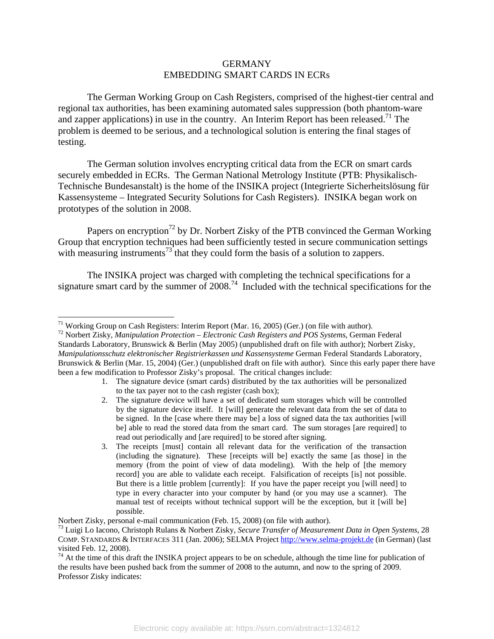## GERMANY EMBEDDING SMART CARDS IN ECRs

The German Working Group on Cash Registers, comprised of the highest-tier central and regional tax authorities, has been examining automated sales suppression (both phantom-ware and zapper applications) in use in the country. An Interim Report has been released.<sup>71</sup> The problem is deemed to be serious, and a technological solution is entering the final stages of testing.

The German solution involves encrypting critical data from the ECR on smart cards securely embedded in ECRs. The German National Metrology Institute (PTB: Physikalisch-Technische Bundesanstalt) is the home of the INSIKA project (Integrierte Sicherheitslösung für Kassensysteme – Integrated Security Solutions for Cash Registers). INSIKA began work on prototypes of the solution in 2008.

Papers on encryption<sup>72</sup> by Dr. Norbert Zisky of the PTB convinced the German Working Group that encryption techniques had been sufficiently tested in secure communication settings with measuring instruments<sup>73</sup> that they could form the basis of a solution to zappers.

The INSIKA project was charged with completing the technical specifications for a signature smart card by the summer of  $2008<sup>74</sup>$  Included with the technical specifications for the

<sup>72</sup> Norbert Zisky, *Manipulation Protection – Electronic Cash Registers and POS Systems*, German Federal Standards Laboratory, Brunswick & Berlin (May 2005) (unpublished draft on file with author); Norbert Zisky, *Manipulationsschutz elektronischer Registrierkassen und Kassensysteme* German Federal Standards Laboratory, Brunswick & Berlin (Mar. 15, 2004) (Ger.) (unpublished draft on file with author). Since this early paper there have been a few modification to Professor Zisky's proposal. The critical changes include:

 $74$  At the time of this draft the INSIKA project appears to be on schedule, although the time line for publication of the results have been pushed back from the summer of 2008 to the autumn, and now to the spring of 2009. Professor Zisky indicates:

 $^{71}$  Working Group on Cash Registers: Interim Report (Mar. 16, 2005) (Ger.) (on file with author).

<sup>1.</sup> The signature device (smart cards) distributed by the tax authorities will be personalized to the tax payer not to the cash register (cash box);

<sup>2.</sup> The signature device will have a set of dedicated sum storages which will be controlled by the signature device itself. It [will] generate the relevant data from the set of data to be signed. In the [case where there may be] a loss of signed data the tax authorities [will be] able to read the stored data from the smart card. The sum storages [are required] to read out periodically and [are required] to be stored after signing.

<sup>3.</sup> The receipts [must] contain all relevant data for the verification of the transaction (including the signature). These [receipts will be] exactly the same [as those] in the memory (from the point of view of data modeling). With the help of [the memory record] you are able to validate each receipt. Falsification of receipts [is] not possible. But there is a little problem [currently]: If you have the paper receipt you [will need] to type in every character into your computer by hand (or you may use a scanner). The manual test of receipts without technical support will be the exception, but it [will be] possible.

Norbert Zisky, personal e-mail communication (Feb. 15, 2008) (on file with author).

<sup>73</sup> Luigi Lo Iacono, Christoph Rulans & Norbert Zisky, *Secure Transfer of Measurement Data in Open Systems*, 28 COMP. STANDARDS & INTERFACES 311 (Jan. 2006); SELMA Project http://www.selma-projekt.de (in German) (last visited Feb. 12, 2008).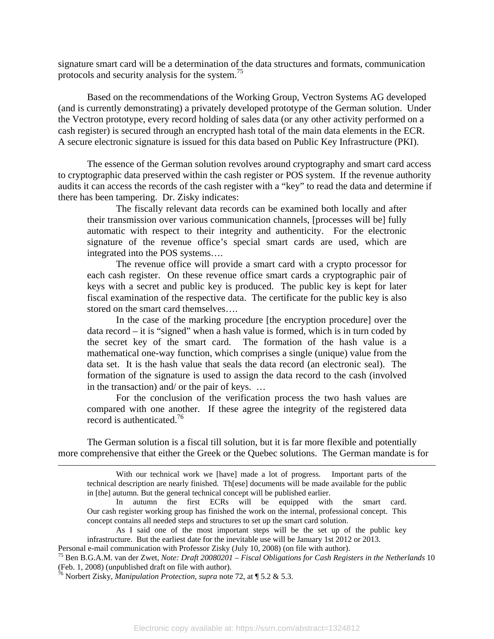signature smart card will be a determination of the data structures and formats, communication protocols and security analysis for the system.<sup>75</sup>

Based on the recommendations of the Working Group, Vectron Systems AG developed (and is currently demonstrating) a privately developed prototype of the German solution. Under the Vectron prototype, every record holding of sales data (or any other activity performed on a cash register) is secured through an encrypted hash total of the main data elements in the ECR. A secure electronic signature is issued for this data based on Public Key Infrastructure (PKI).

The essence of the German solution revolves around cryptography and smart card access to cryptographic data preserved within the cash register or POS system. If the revenue authority audits it can access the records of the cash register with a "key" to read the data and determine if there has been tampering. Dr. Zisky indicates:

The fiscally relevant data records can be examined both locally and after their transmission over various communication channels, [processes will be] fully automatic with respect to their integrity and authenticity. For the electronic signature of the revenue office's special smart cards are used, which are integrated into the POS systems….

The revenue office will provide a smart card with a crypto processor for each cash register. On these revenue office smart cards a cryptographic pair of keys with a secret and public key is produced. The public key is kept for later fiscal examination of the respective data. The certificate for the public key is also stored on the smart card themselves….

In the case of the marking procedure [the encryption procedure] over the  $data record - it is "signed" when a hash value is formed, which is in turn coded by$ the secret key of the smart card. The formation of the hash value is a mathematical one-way function, which comprises a single (unique) value from the data set. It is the hash value that seals the data record (an electronic seal). The formation of the signature is used to assign the data record to the cash (involved in the transaction) and/ or the pair of keys. …

For the conclusion of the verification process the two hash values are compared with one another. If these agree the integrity of the registered data record is authenticated.76

The German solution is a fiscal till solution, but it is far more flexible and potentially more comprehensive that either the Greek or the Quebec solutions. The German mandate is for

With our technical work we [have] made a lot of progress. Important parts of the technical description are nearly finished. Th[ese] documents will be made available for the public in [the] autumn. But the general technical concept will be published earlier.

In autumn the first ECRs will be equipped with the smart card. Our cash register working group has finished the work on the internal, professional concept. This concept contains all needed steps and structures to set up the smart card solution.

As I said one of the most important steps will be the set up of the public key infrastructure. But the earliest date for the inevitable use will be January 1st 2012 or 2013.

Personal e-mail communication with Professor Zisky (July 10, 2008) (on file with author).

<sup>75</sup> Ben B.G.A.M. van der Zwet, *Note: Draft 20080201 – Fiscal Obligations for Cash Registers in the Netherlands* 10 (Feb. 1, 2008) (unpublished draft on file with author). 76 Norbert Zisky, *Manipulation Protection, supra* note 72, at ¶ 5.2 & 5.3.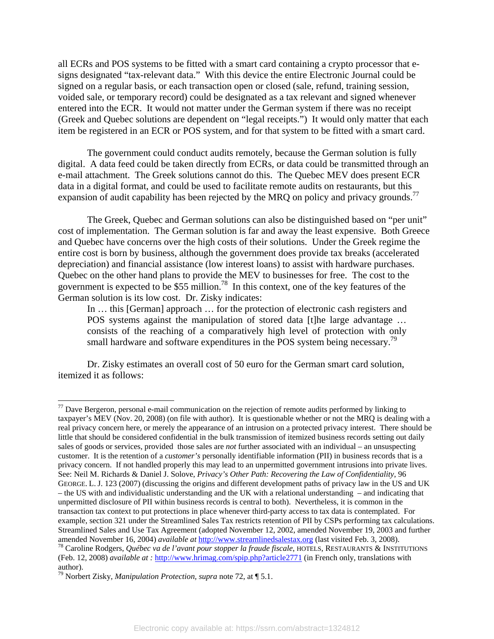all ECRs and POS systems to be fitted with a smart card containing a crypto processor that esigns designated "tax-relevant data." With this device the entire Electronic Journal could be signed on a regular basis, or each transaction open or closed (sale, refund, training session, voided sale, or temporary record) could be designated as a tax relevant and signed whenever entered into the ECR. It would not matter under the German system if there was no receipt (Greek and Quebec solutions are dependent on "legal receipts.") It would only matter that each item be registered in an ECR or POS system, and for that system to be fitted with a smart card.

The government could conduct audits remotely, because the German solution is fully digital. A data feed could be taken directly from ECRs, or data could be transmitted through an e-mail attachment. The Greek solutions cannot do this. The Quebec MEV does present ECR data in a digital format, and could be used to facilitate remote audits on restaurants, but this expansion of audit capability has been rejected by the MRQ on policy and privacy grounds.<sup>77</sup>

The Greek, Quebec and German solutions can also be distinguished based on "per unit" cost of implementation. The German solution is far and away the least expensive. Both Greece and Quebec have concerns over the high costs of their solutions. Under the Greek regime the entire cost is born by business, although the government does provide tax breaks (accelerated depreciation) and financial assistance (low interest loans) to assist with hardware purchases. Quebec on the other hand plans to provide the MEV to businesses for free. The cost to the government is expected to be \$55 million.<sup>78</sup> In this context, one of the key features of the German solution is its low cost. Dr. Zisky indicates:

In … this [German] approach … for the protection of electronic cash registers and POS systems against the manipulation of stored data [t]he large advantage … consists of the reaching of a comparatively high level of protection with only small hardware and software expenditures in the POS system being necessary.<sup>79</sup>

Dr. Zisky estimates an overall cost of 50 euro for the German smart card solution, itemized it as follows:

 $77$  Dave Bergeron, personal e-mail communication on the rejection of remote audits performed by linking to taxpayer's MEV (Nov. 20, 2008) (on file with author). It is questionable whether or not the MRQ is dealing with a real privacy concern here, or merely the appearance of an intrusion on a protected privacy interest. There should be little that should be considered confidential in the bulk transmission of itemized business records setting out daily sales of goods or services, provided those sales are *not* further associated with an individual – an unsuspecting customer. It is the retention of a *customer's* personally identifiable information (PII) in business records that is a privacy concern. If not handled properly this may lead to an unpermitted government intrusions into private lives. See: Neil M. Richards & Daniel J. Solove, *Privacy's Other Path: Recovering the Law of Confidentiality*, 96 GEORGE. L. J. 123 (2007) (discussing the origins and different development paths of privacy law in the US and UK – the US with and individualistic understanding and the UK with a relational understanding – and indicating that unpermitted disclosure of PII within business records is central to both). Nevertheless, it is common in the transaction tax context to put protections in place whenever third-party access to tax data is contemplated. For example, section 321 under the Streamlined Sales Tax restricts retention of PII by CSPs performing tax calculations. Streamlined Sales and Use Tax Agreement (adopted November 12, 2002, amended November 19, 2003 and further amended November 16, 2004) available at http://www.streamlinedsalestax.org (last visited Feb. 3, 2008).<br><sup>78</sup> Caroline Rodgers, *Québec va de l'avant pour stopper la fraude fiscale*, HOTELS, RESTAURANTS & INSTITUTIONS (Feb. 12, 2008) *available at :* http://www.hrimag.com/spip.php?article2771 (in French only, translations with author).

<sup>79</sup> Norbert Zisky, *Manipulation Protection, supra* note 72, at ¶ 5.1.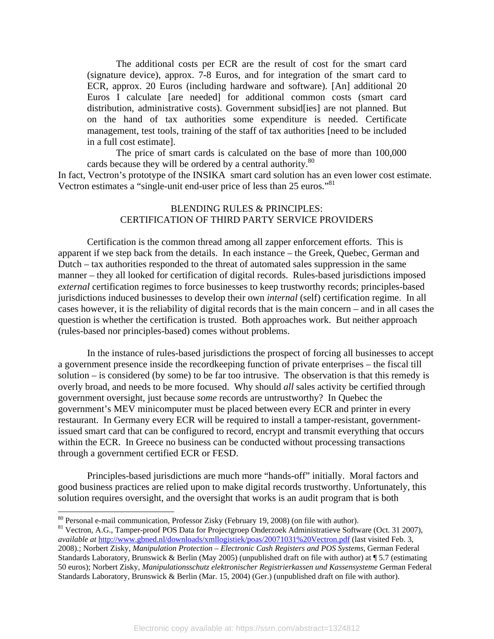The additional costs per ECR are the result of cost for the smart card (signature device), approx. 7-8 Euros, and for integration of the smart card to ECR, approx. 20 Euros (including hardware and software). [An] additional 20 Euros I calculate [are needed] for additional common costs (smart card distribution, administrative costs). Government subsid[ies] are not planned. But on the hand of tax authorities some expenditure is needed. Certificate management, test tools, training of the staff of tax authorities [need to be included in a full cost estimate].

The price of smart cards is calculated on the base of more than 100,000 cards because they will be ordered by a central authority.<sup>80</sup>

In fact, Vectron's prototype of the INSIKA smart card solution has an even lower cost estimate. Vectron estimates a "single-unit end-user price of less than 25 euros."<sup>81</sup>

# BLENDING RULES & PRINCIPLES: CERTIFICATION OF THIRD PARTY SERVICE PROVIDERS

Certification is the common thread among all zapper enforcement efforts. This is apparent if we step back from the details. In each instance – the Greek, Quebec, German and Dutch – tax authorities responded to the threat of automated sales suppression in the same manner – they all looked for certification of digital records. Rules-based jurisdictions imposed *external* certification regimes to force businesses to keep trustworthy records; principles-based jurisdictions induced businesses to develop their own *internal* (self) certification regime. In all cases however, it is the reliability of digital records that is the main concern – and in all cases the question is whether the certification is trusted. Both approaches work. But neither approach (rules-based nor principles-based) comes without problems.

In the instance of rules-based jurisdictions the prospect of forcing all businesses to accept a government presence inside the recordkeeping function of private enterprises – the fiscal till solution – is considered (by some) to be far too intrusive. The observation is that this remedy is overly broad, and needs to be more focused. Why should *all* sales activity be certified through government oversight, just because *some* records are untrustworthy? In Quebec the government's MEV minicomputer must be placed between every ECR and printer in every restaurant. In Germany every ECR will be required to install a tamper-resistant, governmentissued smart card that can be configured to record, encrypt and transmit everything that occurs within the ECR. In Greece no business can be conducted without processing transactions through a government certified ECR or FESD.

Principles-based jurisdictions are much more "hands-off" initially. Moral factors and good business practices are relied upon to make digital records trustworthy. Unfortunately, this solution requires oversight, and the oversight that works is an audit program that is both

<sup>80</sup> Personal e-mail communication, Professor Zisky (February 19, 2008) (on file with author).

<sup>&</sup>lt;sup>81</sup> Vectron, A.G., Tamper-proof POS Data for Projectgroep Onderzoek Administratieve Software (Oct. 31 2007), *available at* http://www.gbned.nl/downloads/xmllogistiek/poas/20071031%20Vectron.pdf (last visited Feb. 3, 2008).; Norbert Zisky, *Manipulation Protection – Electronic Cash Registers and POS Systems*, German Federal Standards Laboratory, Brunswick & Berlin (May 2005) (unpublished draft on file with author) at ¶ 5.7 (estimating 50 euros); Norbert Zisky, *Manipulationsschutz elektronischer Registrierkassen und Kassensysteme* German Federal Standards Laboratory, Brunswick & Berlin (Mar. 15, 2004) (Ger.) (unpublished draft on file with author).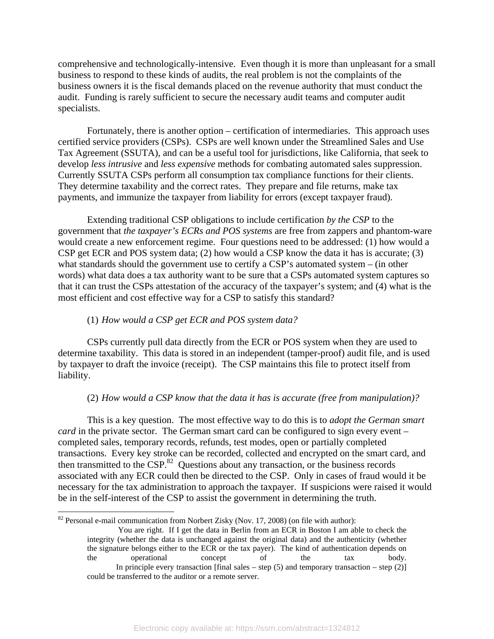comprehensive and technologically-intensive. Even though it is more than unpleasant for a small business to respond to these kinds of audits, the real problem is not the complaints of the business owners it is the fiscal demands placed on the revenue authority that must conduct the audit. Funding is rarely sufficient to secure the necessary audit teams and computer audit specialists.

Fortunately, there is another option – certification of intermediaries. This approach uses certified service providers (CSPs). CSPs are well known under the Streamlined Sales and Use Tax Agreement (SSUTA), and can be a useful tool for jurisdictions, like California, that seek to develop *less intrusive* and *less expensive* methods for combating automated sales suppression. Currently SSUTA CSPs perform all consumption tax compliance functions for their clients. They determine taxability and the correct rates. They prepare and file returns, make tax payments, and immunize the taxpayer from liability for errors (except taxpayer fraud).

Extending traditional CSP obligations to include certification *by the CSP* to the government that *the taxpayer's ECRs and POS systems* are free from zappers and phantom-ware would create a new enforcement regime. Four questions need to be addressed: (1) how would a CSP get ECR and POS system data; (2) how would a CSP know the data it has is accurate; (3) what standards should the government use to certify a CSP's automated system – (in other words) what data does a tax authority want to be sure that a CSPs automated system captures so that it can trust the CSPs attestation of the accuracy of the taxpayer's system; and (4) what is the most efficient and cost effective way for a CSP to satisfy this standard?

### (1) *How would a CSP get ECR and POS system data?*

CSPs currently pull data directly from the ECR or POS system when they are used to determine taxability. This data is stored in an independent (tamper-proof) audit file, and is used by taxpayer to draft the invoice (receipt). The CSP maintains this file to protect itself from liability.

#### (2) *How would a CSP know that the data it has is accurate (free from manipulation)?*

This is a key question. The most effective way to do this is to *adopt the German smart card* in the private sector. The German smart card can be configured to sign every event – completed sales, temporary records, refunds, test modes, open or partially completed transactions. Every key stroke can be recorded, collected and encrypted on the smart card, and then transmitted to the  $CSP<sup>82</sup>$  Questions about any transaction, or the business records associated with any ECR could then be directed to the CSP. Only in cases of fraud would it be necessary for the tax administration to approach the taxpayer. If suspicions were raised it would be in the self-interest of the CSP to assist the government in determining the truth.

 $82$  Personal e-mail communication from Norbert Zisky (Nov. 17, 2008) (on file with author):

You are right. If I get the data in Berlin from an ECR in Boston I am able to check the integrity (whether the data is unchanged against the original data) and the authenticity (whether the signature belongs either to the ECR or the tax payer). The kind of authentication depends on the operational concept of the tax body. In principle every transaction [final sales – step  $(5)$  and temporary transaction – step  $(2)$ ] could be transferred to the auditor or a remote server.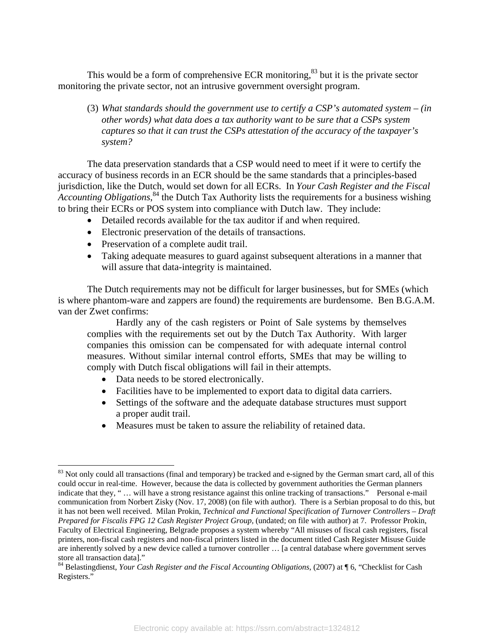This would be a form of comprehensive ECR monitoring, $83$  but it is the private sector monitoring the private sector, not an intrusive government oversight program.

(3) *What standards should the government use to certify a CSP's automated system – (in other words) what data does a tax authority want to be sure that a CSPs system captures so that it can trust the CSPs attestation of the accuracy of the taxpayer's system?* 

The data preservation standards that a CSP would need to meet if it were to certify the accuracy of business records in an ECR should be the same standards that a principles-based jurisdiction, like the Dutch, would set down for all ECRs. In *Your Cash Register and the Fiscal*  Accounting Obligations,<sup>84</sup> the Dutch Tax Authority lists the requirements for a business wishing to bring their ECRs or POS system into compliance with Dutch law. They include:

- Detailed records available for the tax auditor if and when required.
- Electronic preservation of the details of transactions.
- Preservation of a complete audit trail.
- Taking adequate measures to guard against subsequent alterations in a manner that will assure that data-integrity is maintained.

The Dutch requirements may not be difficult for larger businesses, but for SMEs (which is where phantom-ware and zappers are found) the requirements are burdensome. Ben B.G.A.M. van der Zwet confirms:

Hardly any of the cash registers or Point of Sale systems by themselves complies with the requirements set out by the Dutch Tax Authority. With larger companies this omission can be compensated for with adequate internal control measures. Without similar internal control efforts, SMEs that may be willing to comply with Dutch fiscal obligations will fail in their attempts.

- Data needs to be stored electronically.
- Facilities have to be implemented to export data to digital data carriers.
- Settings of the software and the adequate database structures must support a proper audit trail.
- Measures must be taken to assure the reliability of retained data.

l <sup>83</sup> Not only could all transactions (final and temporary) be tracked and e-signed by the German smart card, all of this could occur in real-time. However, because the data is collected by government authorities the German planners indicate that they, " ... will have a strong resistance against this online tracking of transactions." Personal e-mail communication from Norbert Zisky (Nov. 17, 2008) (on file with author). There is a Serbian proposal to do this, but it has not been well received. Milan Prokin, *Technical and Functional Specification of Turnover Controllers – Draft Prepared for Fiscalis FPG 12 Cash Register Project Group,* (undated; on file with author) at 7. Professor Prokin, Faculty of Electrical Engineering, Belgrade proposes a system whereby "All misuses of fiscal cash registers, fiscal printers, non-fiscal cash registers and non-fiscal printers listed in the document titled Cash Register Misuse Guide are inherently solved by a new device called a turnover controller … [a central database where government serves store all transaction data]."

<sup>84</sup> Belastingdienst, *Your Cash Register and the Fiscal Accounting Obligations,* (2007) at ¶ 6, "Checklist for Cash Registers."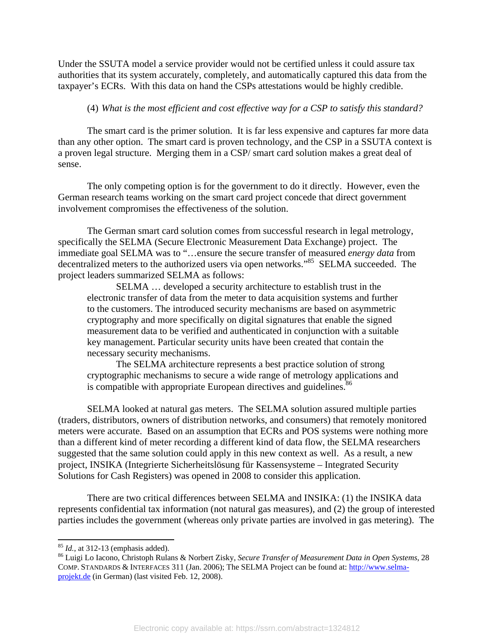Under the SSUTA model a service provider would not be certified unless it could assure tax authorities that its system accurately, completely, and automatically captured this data from the taxpayer's ECRs. With this data on hand the CSPs attestations would be highly credible.

### (4) *What is the most efficient and cost effective way for a CSP to satisfy this standard?*

The smart card is the primer solution. It is far less expensive and captures far more data than any other option. The smart card is proven technology, and the CSP in a SSUTA context is a proven legal structure. Merging them in a CSP/ smart card solution makes a great deal of sense.

The only competing option is for the government to do it directly. However, even the German research teams working on the smart card project concede that direct government involvement compromises the effectiveness of the solution.

The German smart card solution comes from successful research in legal metrology, specifically the SELMA (Secure Electronic Measurement Data Exchange) project. The immediate goal SELMA was to "…ensure the secure transfer of measured *energy data* from decentralized meters to the authorized users via open networks.<sup>85</sup> SELMA succeeded. The project leaders summarized SELMA as follows:

SELMA … developed a security architecture to establish trust in the electronic transfer of data from the meter to data acquisition systems and further to the customers. The introduced security mechanisms are based on asymmetric cryptography and more specifically on digital signatures that enable the signed measurement data to be verified and authenticated in conjunction with a suitable key management. Particular security units have been created that contain the necessary security mechanisms.

The SELMA architecture represents a best practice solution of strong cryptographic mechanisms to secure a wide range of metrology applications and is compatible with appropriate European directives and guidelines.<sup>86</sup>

SELMA looked at natural gas meters. The SELMA solution assured multiple parties (traders, distributors, owners of distribution networks, and consumers) that remotely monitored meters were accurate. Based on an assumption that ECRs and POS systems were nothing more than a different kind of meter recording a different kind of data flow, the SELMA researchers suggested that the same solution could apply in this new context as well. As a result, a new project, INSIKA (Integrierte Sicherheitslösung für Kassensysteme – Integrated Security Solutions for Cash Registers) was opened in 2008 to consider this application.

There are two critical differences between SELMA and INSIKA: (1) the INSIKA data represents confidential tax information (not natural gas measures), and (2) the group of interested parties includes the government (whereas only private parties are involved in gas metering). The

 $^{85}$  *Id.*, at 312-13 (emphasis added).

<sup>&</sup>lt;sup>86</sup> Luigi Lo Iacono, Christoph Rulans & Norbert Zisky, *Secure Transfer of Measurement Data in Open Systems*, 28 COMP. STANDARDS & INTERFACES 311 (Jan. 2006); The SELMA Project can be found at: http://www.selmaprojekt.de (in German) (last visited Feb. 12, 2008).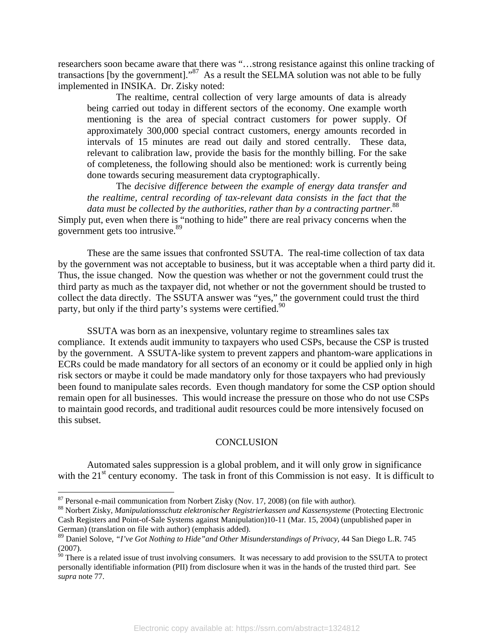researchers soon became aware that there was "…strong resistance against this online tracking of transactions [by the government]."<sup>87</sup> As a result the SELMA solution was not able to be fully implemented in INSIKA. Dr. Zisky noted:

The realtime, central collection of very large amounts of data is already being carried out today in different sectors of the economy. One example worth mentioning is the area of special contract customers for power supply. Of approximately 300,000 special contract customers, energy amounts recorded in intervals of 15 minutes are read out daily and stored centrally. These data, relevant to calibration law, provide the basis for the monthly billing. For the sake of completeness, the following should also be mentioned: work is currently being done towards securing measurement data cryptographically.

The *decisive difference between the example of energy data transfer and the realtime, central recording of tax-relevant data consists in the fact that the* data must be collected by the authorities, rather than by a contracting partner.<sup>88</sup> Simply put, even when there is "nothing to hide" there are real privacy concerns when the government gets too intrusive.89

These are the same issues that confronted SSUTA. The real-time collection of tax data by the government was not acceptable to business, but it was acceptable when a third party did it. Thus, the issue changed. Now the question was whether or not the government could trust the third party as much as the taxpayer did, not whether or not the government should be trusted to collect the data directly. The SSUTA answer was "yes," the government could trust the third party, but only if the third party's systems were certified.<sup>90</sup>

SSUTA was born as an inexpensive, voluntary regime to streamlines sales tax compliance. It extends audit immunity to taxpayers who used CSPs, because the CSP is trusted by the government. A SSUTA-like system to prevent zappers and phantom-ware applications in ECRs could be made mandatory for all sectors of an economy or it could be applied only in high risk sectors or maybe it could be made mandatory only for those taxpayers who had previously been found to manipulate sales records. Even though mandatory for some the CSP option should remain open for all businesses. This would increase the pressure on those who do not use CSPs to maintain good records, and traditional audit resources could be more intensively focused on this subset.

#### **CONCLUSION**

 Automated sales suppression is a global problem, and it will only grow in significance with the  $21<sup>st</sup>$  century economy. The task in front of this Commission is not easy. It is difficult to

 $87$  Personal e-mail communication from Norbert Zisky (Nov. 17, 2008) (on file with author).

<sup>88</sup> Norbert Zisky, Manipulationsschutz elektronischer Registrierkassen und Kassensysteme (Protecting Electronic Cash Registers and Point-of-Sale Systems against Manipulation)10-11 (Mar. 15, 2004) (unpublished paper in German) (translation on file with author) (emphasis added).

<sup>89</sup> Daniel Solove, *"I've Got Nothing to Hide"and Other Misunderstandings of Privacy,* 44 San Diego L.R. 745 (2007).

 $90$  There is a related issue of trust involving consumers. It was necessary to add provision to the SSUTA to protect personally identifiable information (PII) from disclosure when it was in the hands of the trusted third part. See *supra* note 77.